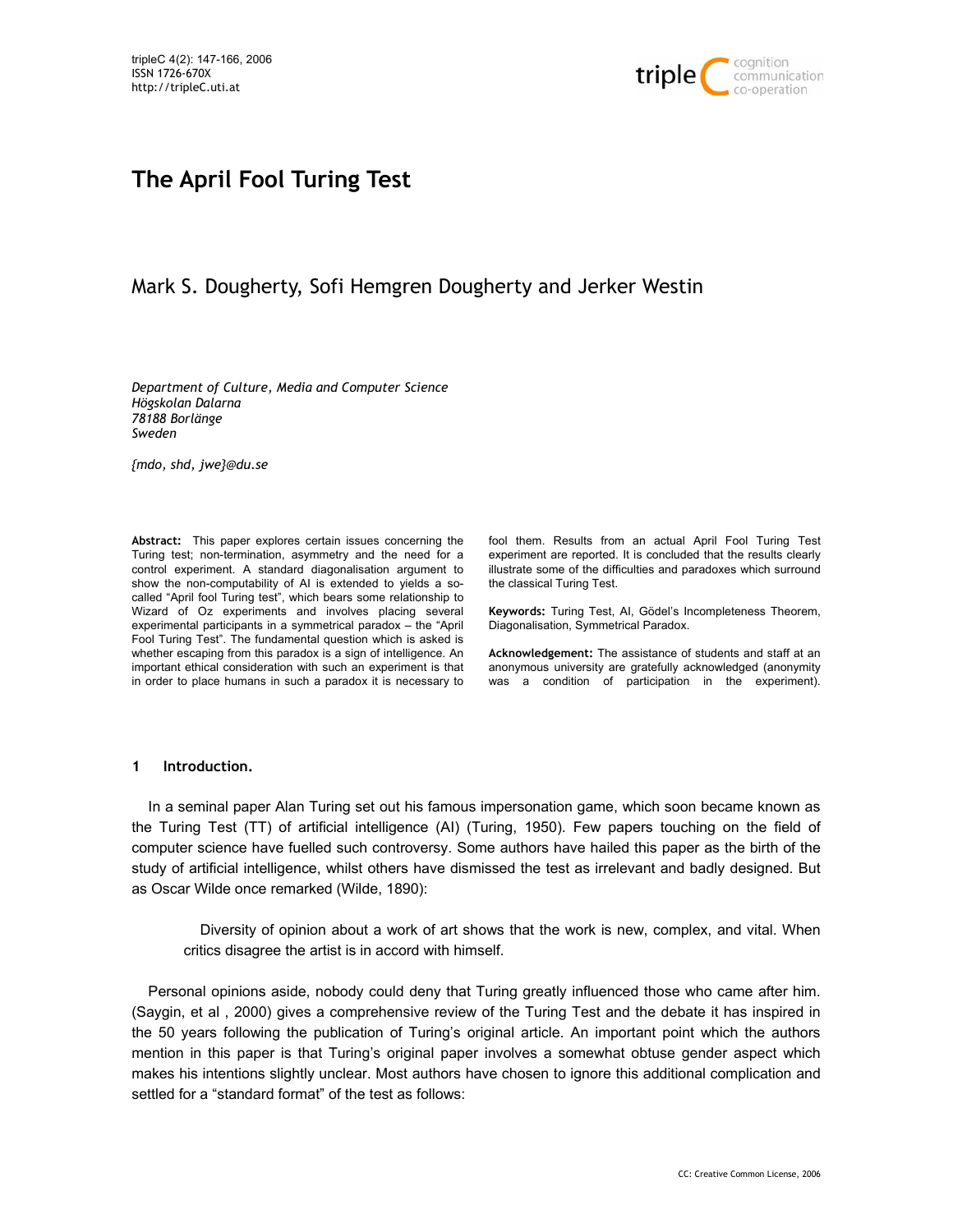

# **The April Fool Turing Test**

# Mark S. Dougherty, Sofi Hemgren Dougherty and Jerker Westin

*Department of Culture, Media and Computer Science Högskolan Dalarna 78188 Borlänge Sweden* 

*{mdo, shd, jwe}@du.se* 

**Abstract:** This paper explores certain issues concerning the Turing test; non-termination, asymmetry and the need for a control experiment. A standard diagonalisation argument to show the non-computability of AI is extended to yields a socalled "April fool Turing test", which bears some relationship to Wizard of Oz experiments and involves placing several experimental participants in a symmetrical paradox – the "April Fool Turing Test". The fundamental question which is asked is whether escaping from this paradox is a sign of intelligence. An important ethical consideration with such an experiment is that in order to place humans in such a paradox it is necessary to

fool them. Results from an actual April Fool Turing Test experiment are reported. It is concluded that the results clearly illustrate some of the difficulties and paradoxes which surround the classical Turing Test.

**Keywords:** Turing Test, AI, Gödel's Incompleteness Theorem, Diagonalisation, Symmetrical Paradox.

**Acknowledgement:** The assistance of students and staff at an anonymous university are gratefully acknowledged (anonymity was a condition of participation in the experiment).

#### **1 Introduction.**

In a seminal paper Alan Turing set out his famous impersonation game, which soon became known as the Turing Test (TT) of artificial intelligence (AI) (Turing, 1950). Few papers touching on the field of computer science have fuelled such controversy. Some authors have hailed this paper as the birth of the study of artificial intelligence, whilst others have dismissed the test as irrelevant and badly designed. But as Oscar Wilde once remarked (Wilde, 1890):

Diversity of opinion about a work of art shows that the work is new, complex, and vital. When critics disagree the artist is in accord with himself.

Personal opinions aside, nobody could deny that Turing greatly influenced those who came after him. (Saygin, et al , 2000) gives a comprehensive review of the Turing Test and the debate it has inspired in the 50 years following the publication of Turing's original article. An important point which the authors mention in this paper is that Turing's original paper involves a somewhat obtuse gender aspect which makes his intentions slightly unclear. Most authors have chosen to ignore this additional complication and settled for a "standard format" of the test as follows: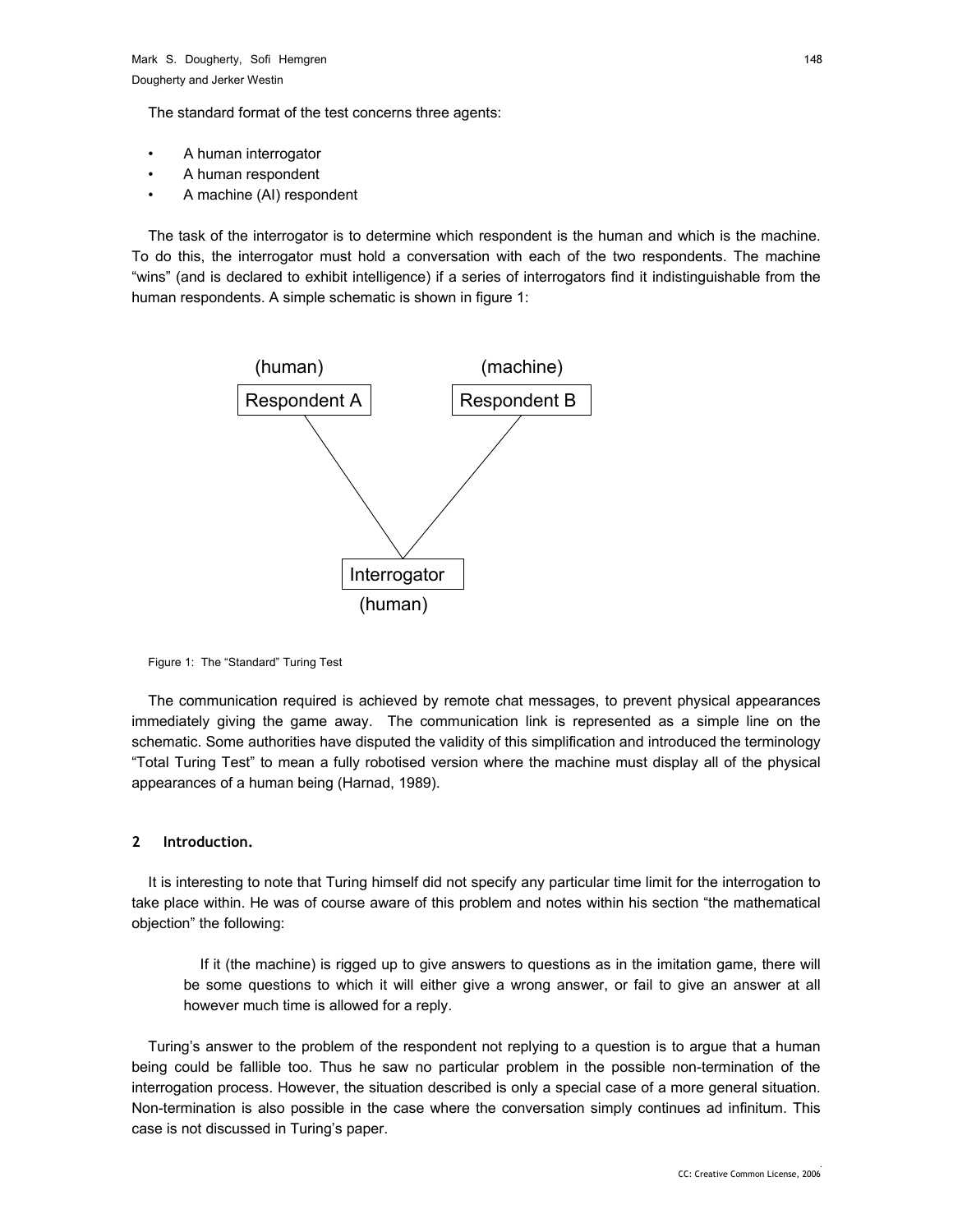The standard format of the test concerns three agents:

- A human interrogator
- A human respondent
- A machine (AI) respondent

The task of the interrogator is to determine which respondent is the human and which is the machine. To do this, the interrogator must hold a conversation with each of the two respondents. The machine "wins" (and is declared to exhibit intelligence) if a series of interrogators find it indistinguishable from the human respondents. A simple schematic is shown in figure 1:



Figure 1: The "Standard" Turing Test

The communication required is achieved by remote chat messages, to prevent physical appearances immediately giving the game away. The communication link is represented as a simple line on the schematic. Some authorities have disputed the validity of this simplification and introduced the terminology "Total Turing Test" to mean a fully robotised version where the machine must display all of the physical appearances of a human being (Harnad, 1989).

#### **2 Introduction.**

It is interesting to note that Turing himself did not specify any particular time limit for the interrogation to take place within. He was of course aware of this problem and notes within his section "the mathematical objection" the following:

If it (the machine) is rigged up to give answers to questions as in the imitation game, there will be some questions to which it will either give a wrong answer, or fail to give an answer at all however much time is allowed for a reply.

Turing's answer to the problem of the respondent not replying to a question is to argue that a human being could be fallible too. Thus he saw no particular problem in the possible non-termination of the interrogation process. However, the situation described is only a special case of a more general situation. Non-termination is also possible in the case where the conversation simply continues ad infinitum. This case is not discussed in Turing's paper.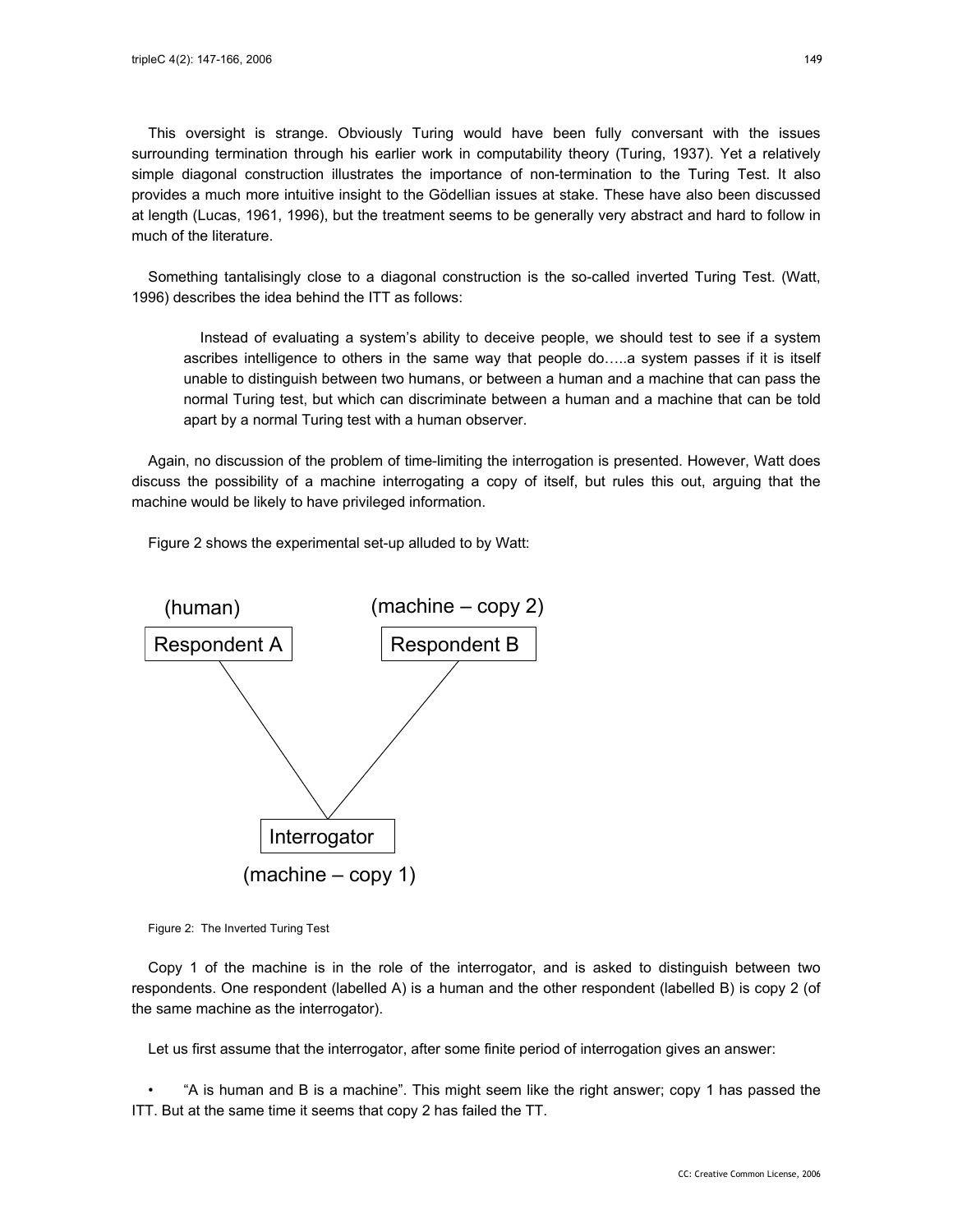This oversight is strange. Obviously Turing would have been fully conversant with the issues surrounding termination through his earlier work in computability theory (Turing, 1937). Yet a relatively simple diagonal construction illustrates the importance of non-termination to the Turing Test. It also provides a much more intuitive insight to the Gödellian issues at stake. These have also been discussed at length (Lucas, 1961, 1996), but the treatment seems to be generally very abstract and hard to follow in much of the literature.

Something tantalisingly close to a diagonal construction is the so-called inverted Turing Test. (Watt, 1996) describes the idea behind the ITT as follows:

Instead of evaluating a system's ability to deceive people, we should test to see if a system ascribes intelligence to others in the same way that people do…..a system passes if it is itself unable to distinguish between two humans, or between a human and a machine that can pass the normal Turing test, but which can discriminate between a human and a machine that can be told apart by a normal Turing test with a human observer.

Again, no discussion of the problem of time-limiting the interrogation is presented. However, Watt does discuss the possibility of a machine interrogating a copy of itself, but rules this out, arguing that the machine would be likely to have privileged information.

Figure 2 shows the experimental set-up alluded to by Watt:



Figure 2: The Inverted Turing Test

Copy 1 of the machine is in the role of the interrogator, and is asked to distinguish between two respondents. One respondent (labelled A) is a human and the other respondent (labelled B) is copy 2 (of the same machine as the interrogator).

Let us first assume that the interrogator, after some finite period of interrogation gives an answer:

• "A is human and B is a machine". This might seem like the right answer; copy 1 has passed the ITT. But at the same time it seems that copy 2 has failed the TT.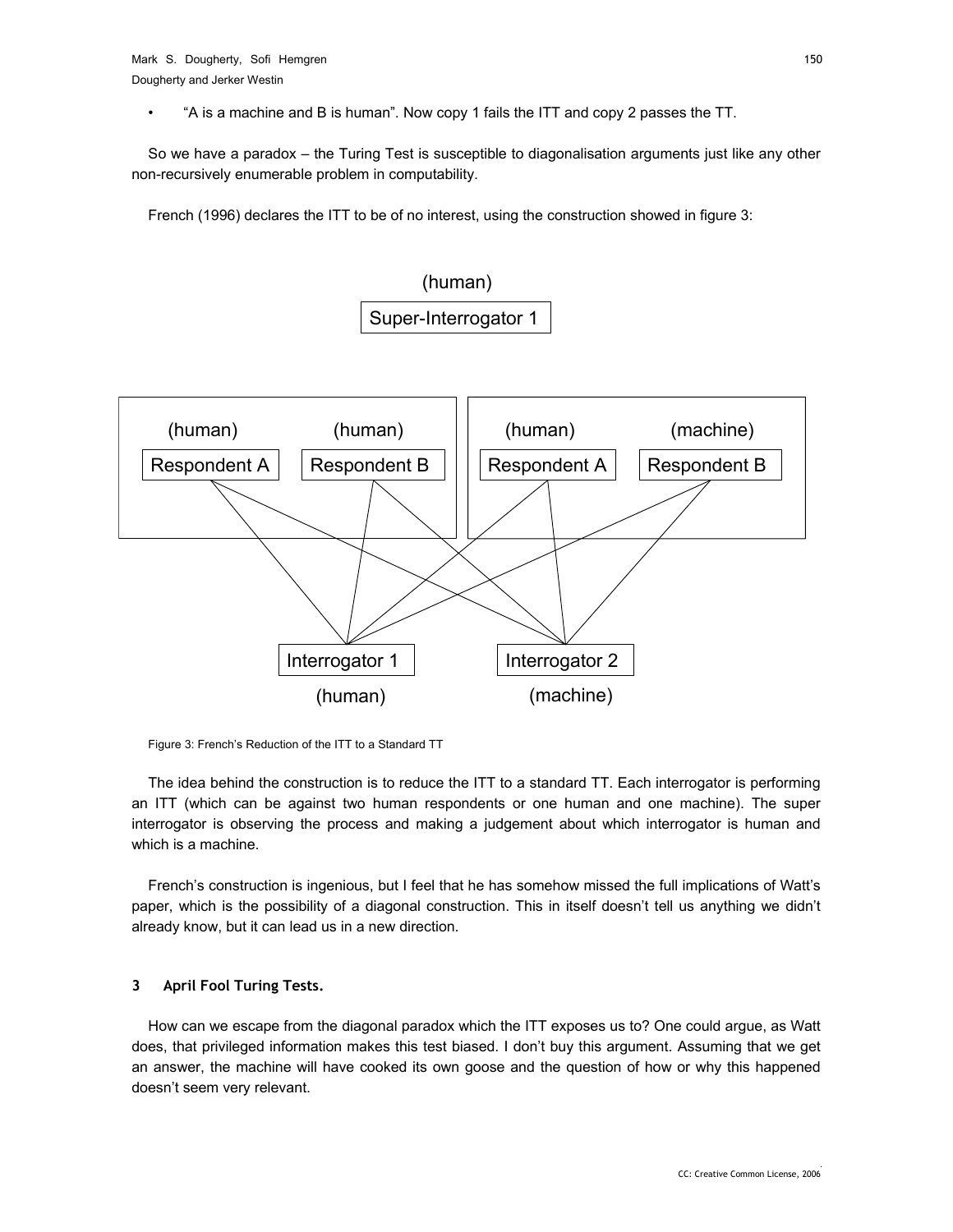• "A is a machine and B is human". Now copy 1 fails the ITT and copy 2 passes the TT.

So we have a paradox – the Turing Test is susceptible to diagonalisation arguments just like any other non-recursively enumerable problem in computability.

French (1996) declares the ITT to be of no interest, using the construction showed in figure 3:



Figure 3: French's Reduction of the ITT to a Standard TT

The idea behind the construction is to reduce the ITT to a standard TT. Each interrogator is performing an ITT (which can be against two human respondents or one human and one machine). The super interrogator is observing the process and making a judgement about which interrogator is human and which is a machine.

French's construction is ingenious, but I feel that he has somehow missed the full implications of Watt's paper, which is the possibility of a diagonal construction. This in itself doesn't tell us anything we didn't already know, but it can lead us in a new direction.

#### **3 April Fool Turing Tests.**

How can we escape from the diagonal paradox which the ITT exposes us to? One could argue, as Watt does, that privileged information makes this test biased. I don't buy this argument. Assuming that we get an answer, the machine will have cooked its own goose and the question of how or why this happened doesn't seem very relevant.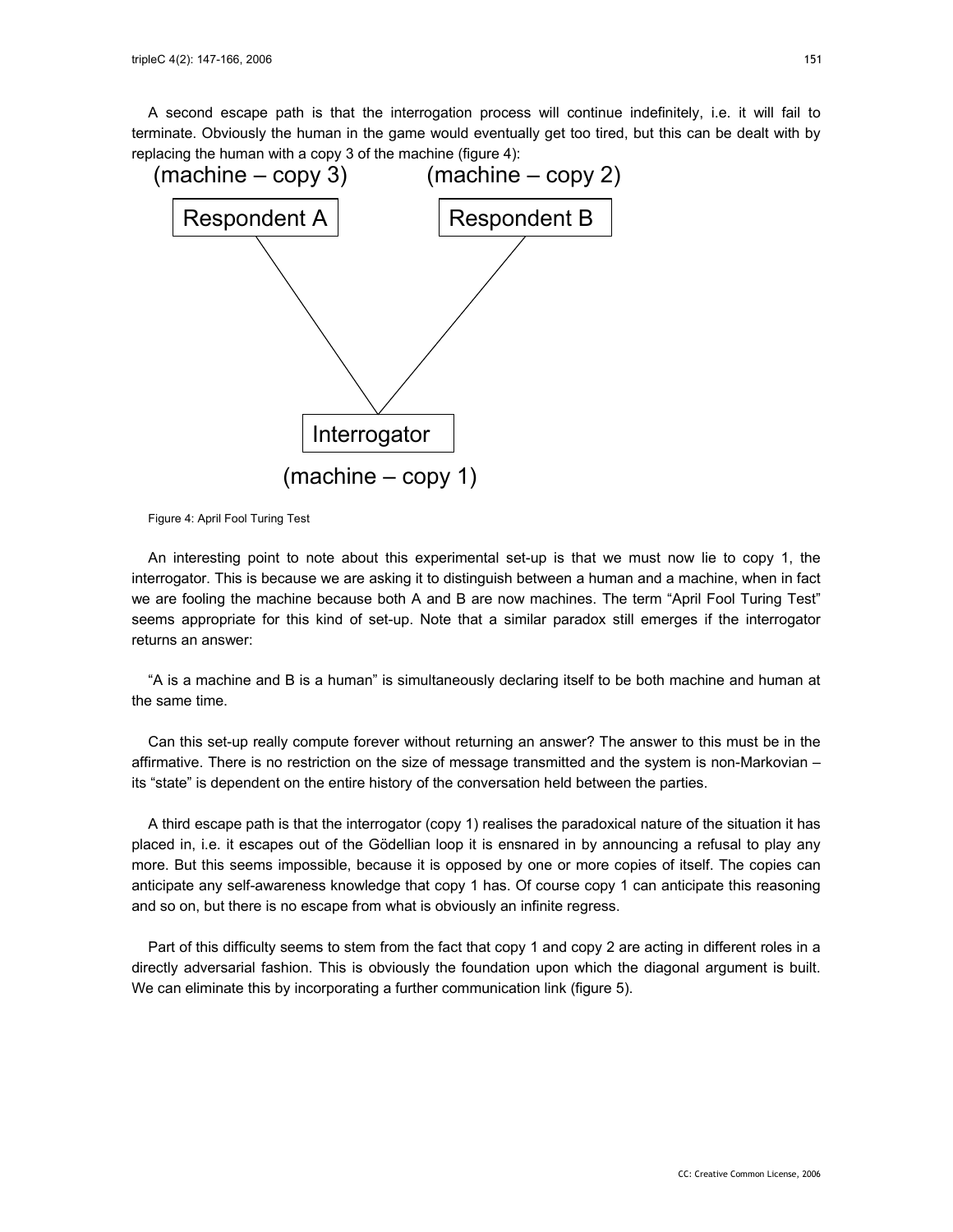A second escape path is that the interrogation process will continue indefinitely, i.e. it will fail to terminate. Obviously the human in the game would eventually get too tired, but this can be dealt with by replacing the human with a copy 3 of the machine (figure 4):



Figure 4: April Fool Turing Test

An interesting point to note about this experimental set-up is that we must now lie to copy 1, the interrogator. This is because we are asking it to distinguish between a human and a machine, when in fact we are fooling the machine because both A and B are now machines. The term "April Fool Turing Test" seems appropriate for this kind of set-up. Note that a similar paradox still emerges if the interrogator returns an answer:

"A is a machine and B is a human" is simultaneously declaring itself to be both machine and human at the same time.

Can this set-up really compute forever without returning an answer? The answer to this must be in the affirmative. There is no restriction on the size of message transmitted and the system is non-Markovian – its "state" is dependent on the entire history of the conversation held between the parties.

A third escape path is that the interrogator (copy 1) realises the paradoxical nature of the situation it has placed in, i.e. it escapes out of the Gödellian loop it is ensnared in by announcing a refusal to play any more. But this seems impossible, because it is opposed by one or more copies of itself. The copies can anticipate any self-awareness knowledge that copy 1 has. Of course copy 1 can anticipate this reasoning and so on, but there is no escape from what is obviously an infinite regress.

Part of this difficulty seems to stem from the fact that copy 1 and copy 2 are acting in different roles in a directly adversarial fashion. This is obviously the foundation upon which the diagonal argument is built. We can eliminate this by incorporating a further communication link (figure 5).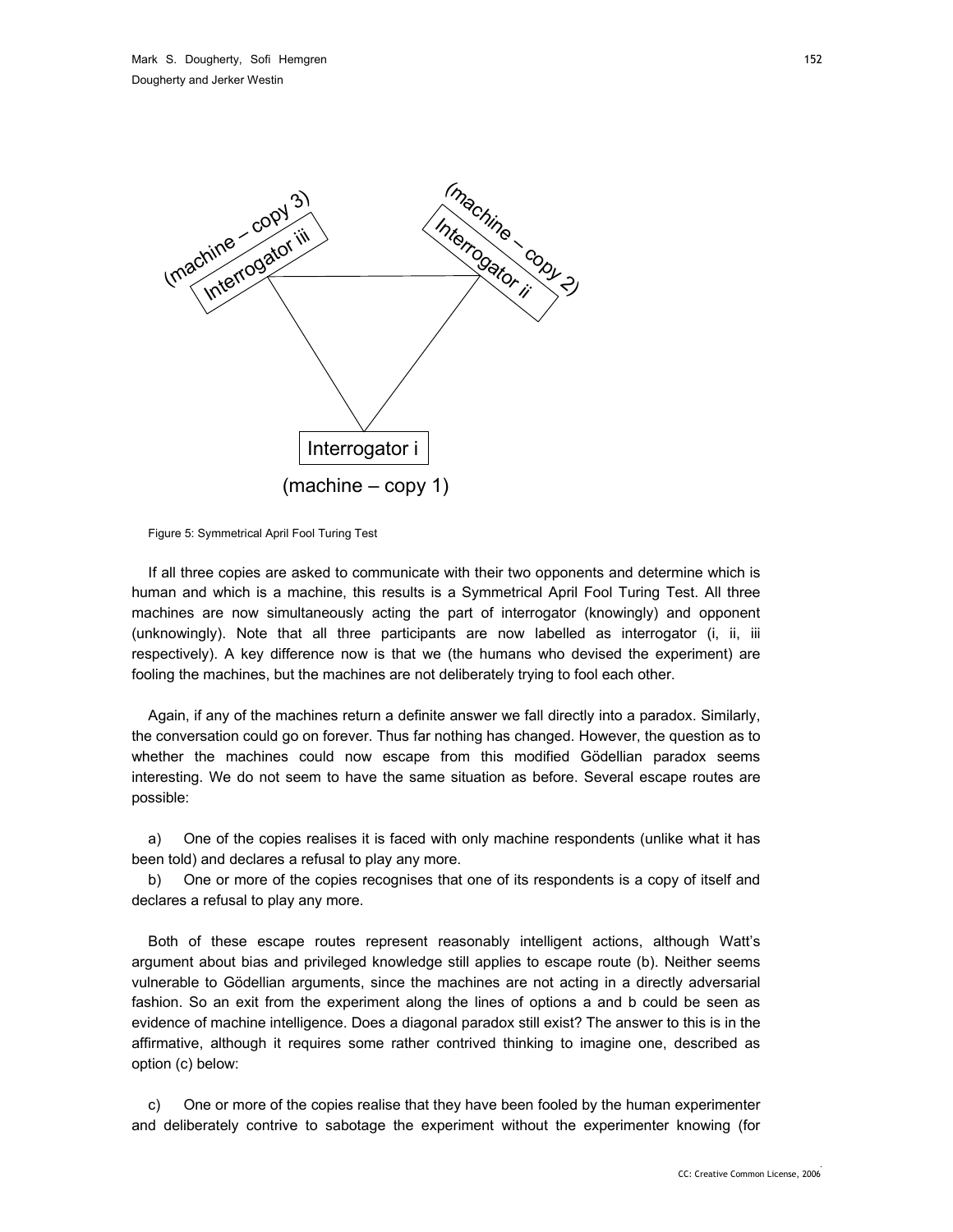

Figure 5: Symmetrical April Fool Turing Test

If all three copies are asked to communicate with their two opponents and determine which is human and which is a machine, this results is a Symmetrical April Fool Turing Test. All three machines are now simultaneously acting the part of interrogator (knowingly) and opponent (unknowingly). Note that all three participants are now labelled as interrogator (i, ii, iii respectively). A key difference now is that we (the humans who devised the experiment) are fooling the machines, but the machines are not deliberately trying to fool each other.

Again, if any of the machines return a definite answer we fall directly into a paradox. Similarly, the conversation could go on forever. Thus far nothing has changed. However, the question as to whether the machines could now escape from this modified Gödellian paradox seems interesting. We do not seem to have the same situation as before. Several escape routes are possible:

a) One of the copies realises it is faced with only machine respondents (unlike what it has been told) and declares a refusal to play any more.

b) One or more of the copies recognises that one of its respondents is a copy of itself and declares a refusal to play any more.

Both of these escape routes represent reasonably intelligent actions, although Watt's argument about bias and privileged knowledge still applies to escape route (b). Neither seems vulnerable to Gödellian arguments, since the machines are not acting in a directly adversarial fashion. So an exit from the experiment along the lines of options a and b could be seen as evidence of machine intelligence. Does a diagonal paradox still exist? The answer to this is in the affirmative, although it requires some rather contrived thinking to imagine one, described as option (c) below:

c) One or more of the copies realise that they have been fooled by the human experimenter and deliberately contrive to sabotage the experiment without the experimenter knowing (for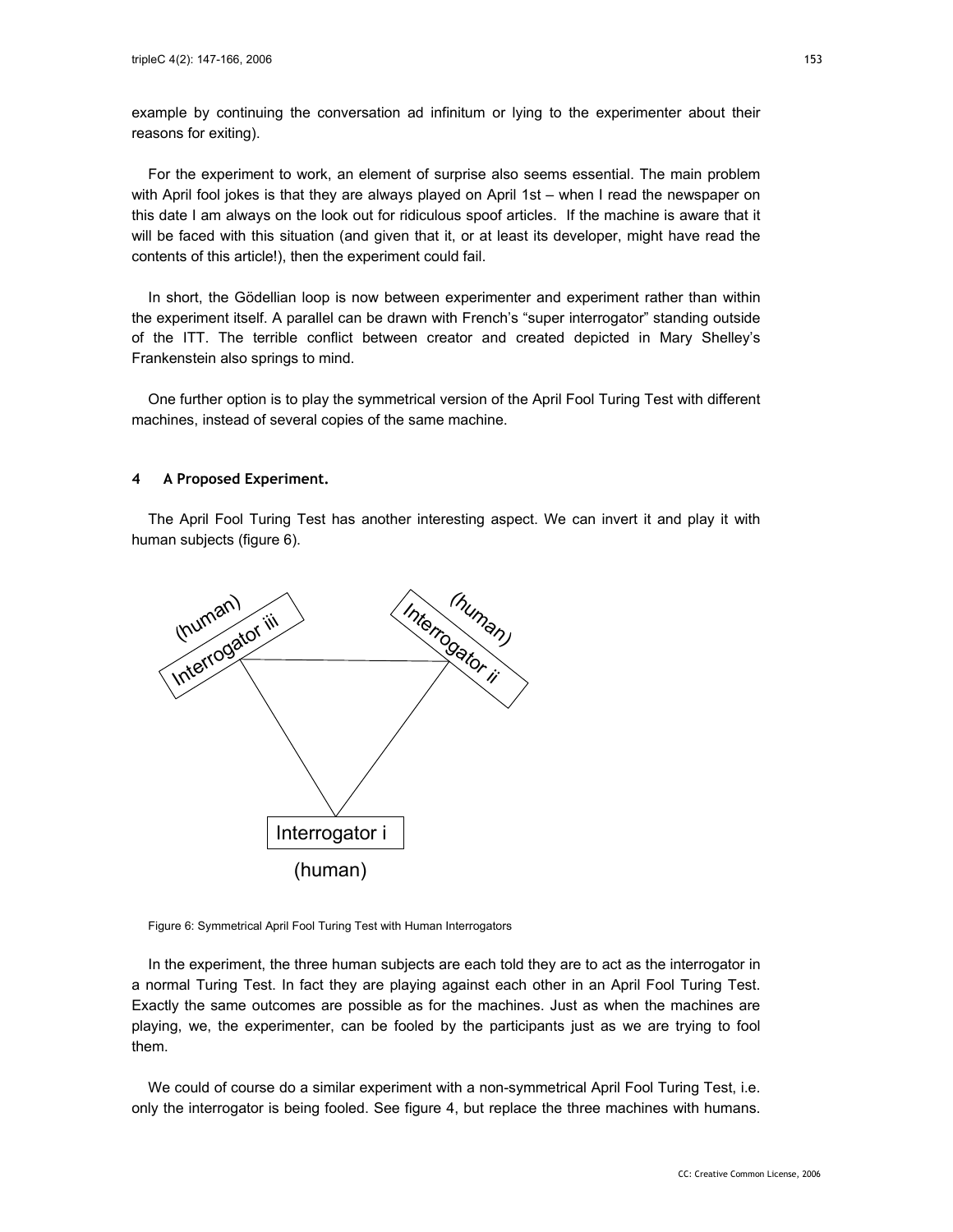example by continuing the conversation ad infinitum or lying to the experimenter about their reasons for exiting).

For the experiment to work, an element of surprise also seems essential. The main problem with April fool jokes is that they are always played on April 1st – when I read the newspaper on this date I am always on the look out for ridiculous spoof articles. If the machine is aware that it will be faced with this situation (and given that it, or at least its developer, might have read the contents of this article!), then the experiment could fail.

In short, the Gödellian loop is now between experimenter and experiment rather than within the experiment itself. A parallel can be drawn with French's "super interrogator" standing outside of the ITT. The terrible conflict between creator and created depicted in Mary Shelley's Frankenstein also springs to mind.

One further option is to play the symmetrical version of the April Fool Turing Test with different machines, instead of several copies of the same machine.

#### **4 A Proposed Experiment.**

The April Fool Turing Test has another interesting aspect. We can invert it and play it with human subjects (figure 6).





In the experiment, the three human subjects are each told they are to act as the interrogator in a normal Turing Test. In fact they are playing against each other in an April Fool Turing Test. Exactly the same outcomes are possible as for the machines. Just as when the machines are playing, we, the experimenter, can be fooled by the participants just as we are trying to fool them.

We could of course do a similar experiment with a non-symmetrical April Fool Turing Test, i.e. only the interrogator is being fooled. See figure 4, but replace the three machines with humans.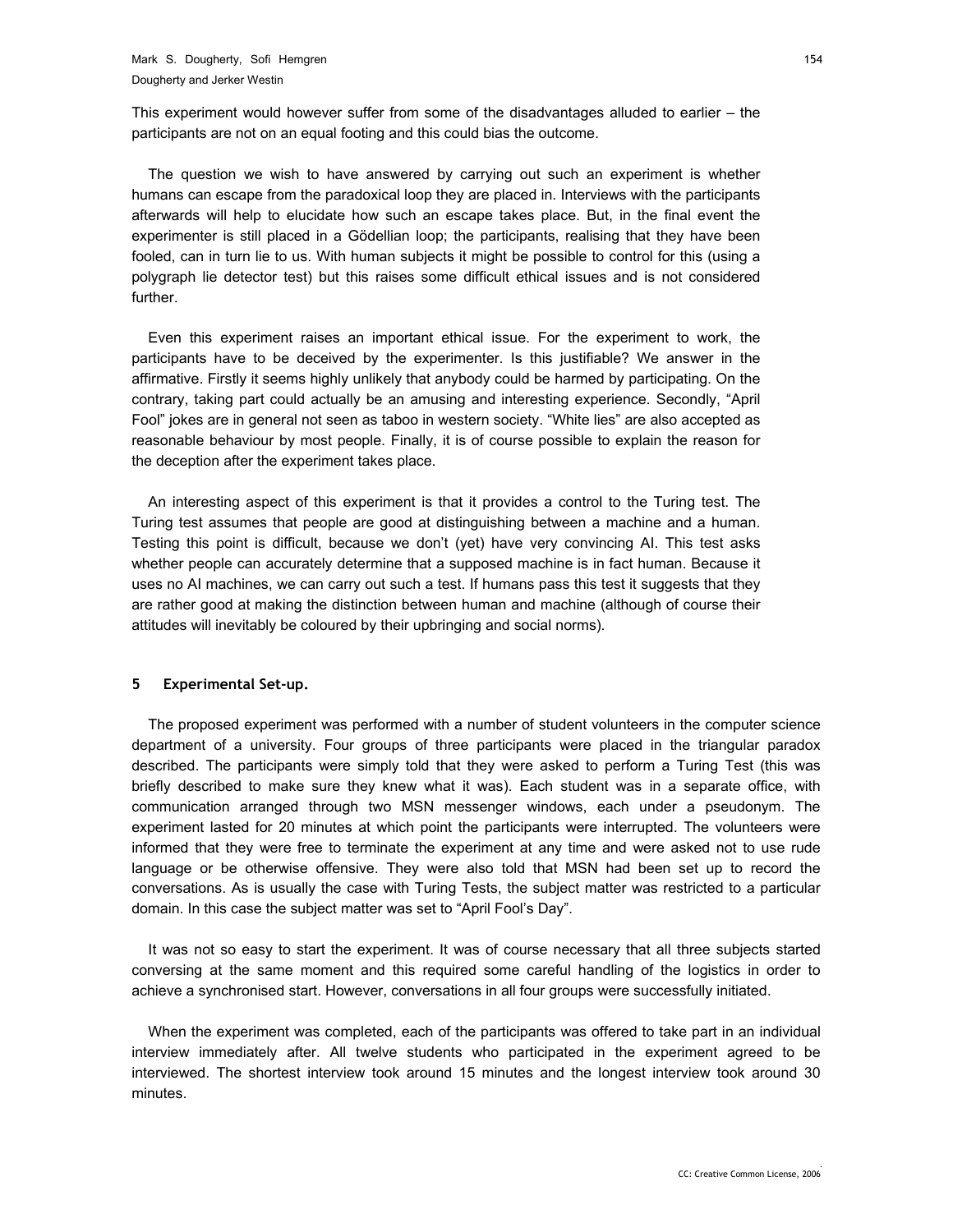This experiment would however suffer from some of the disadvantages alluded to earlier – the participants are not on an equal footing and this could bias the outcome.

The question we wish to have answered by carrying out such an experiment is whether humans can escape from the paradoxical loop they are placed in. Interviews with the participants afterwards will help to elucidate how such an escape takes place. But, in the final event the experimenter is still placed in a Gödellian loop; the participants, realising that they have been fooled, can in turn lie to us. With human subjects it might be possible to control for this (using a polygraph lie detector test) but this raises some difficult ethical issues and is not considered further.

Even this experiment raises an important ethical issue. For the experiment to work, the participants have to be deceived by the experimenter. Is this justifiable? We answer in the affirmative. Firstly it seems highly unlikely that anybody could be harmed by participating. On the contrary, taking part could actually be an amusing and interesting experience. Secondly, "April Fool" jokes are in general not seen as taboo in western society. "White lies" are also accepted as reasonable behaviour by most people. Finally, it is of course possible to explain the reason for the deception after the experiment takes place.

An interesting aspect of this experiment is that it provides a control to the Turing test. The Turing test assumes that people are good at distinguishing between a machine and a human. Testing this point is difficult, because we don't (yet) have very convincing AI. This test asks whether people can accurately determine that a supposed machine is in fact human. Because it uses no AI machines, we can carry out such a test. If humans pass this test it suggests that they are rather good at making the distinction between human and machine (although of course their attitudes will inevitably be coloured by their upbringing and social norms).

#### **5 Experimental Set-up.**

The proposed experiment was performed with a number of student volunteers in the computer science department of a university. Four groups of three participants were placed in the triangular paradox described. The participants were simply told that they were asked to perform a Turing Test (this was briefly described to make sure they knew what it was). Each student was in a separate office, with communication arranged through two MSN messenger windows, each under a pseudonym. The experiment lasted for 20 minutes at which point the participants were interrupted. The volunteers were informed that they were free to terminate the experiment at any time and were asked not to use rude language or be otherwise offensive. They were also told that MSN had been set up to record the conversations. As is usually the case with Turing Tests, the subject matter was restricted to a particular domain. In this case the subject matter was set to "April Fool's Day".

It was not so easy to start the experiment. It was of course necessary that all three subjects started conversing at the same moment and this required some careful handling of the logistics in order to achieve a synchronised start. However, conversations in all four groups were successfully initiated.

When the experiment was completed, each of the participants was offered to take part in an individual interview immediately after. All twelve students who participated in the experiment agreed to be interviewed. The shortest interview took around 15 minutes and the longest interview took around 30 minutes.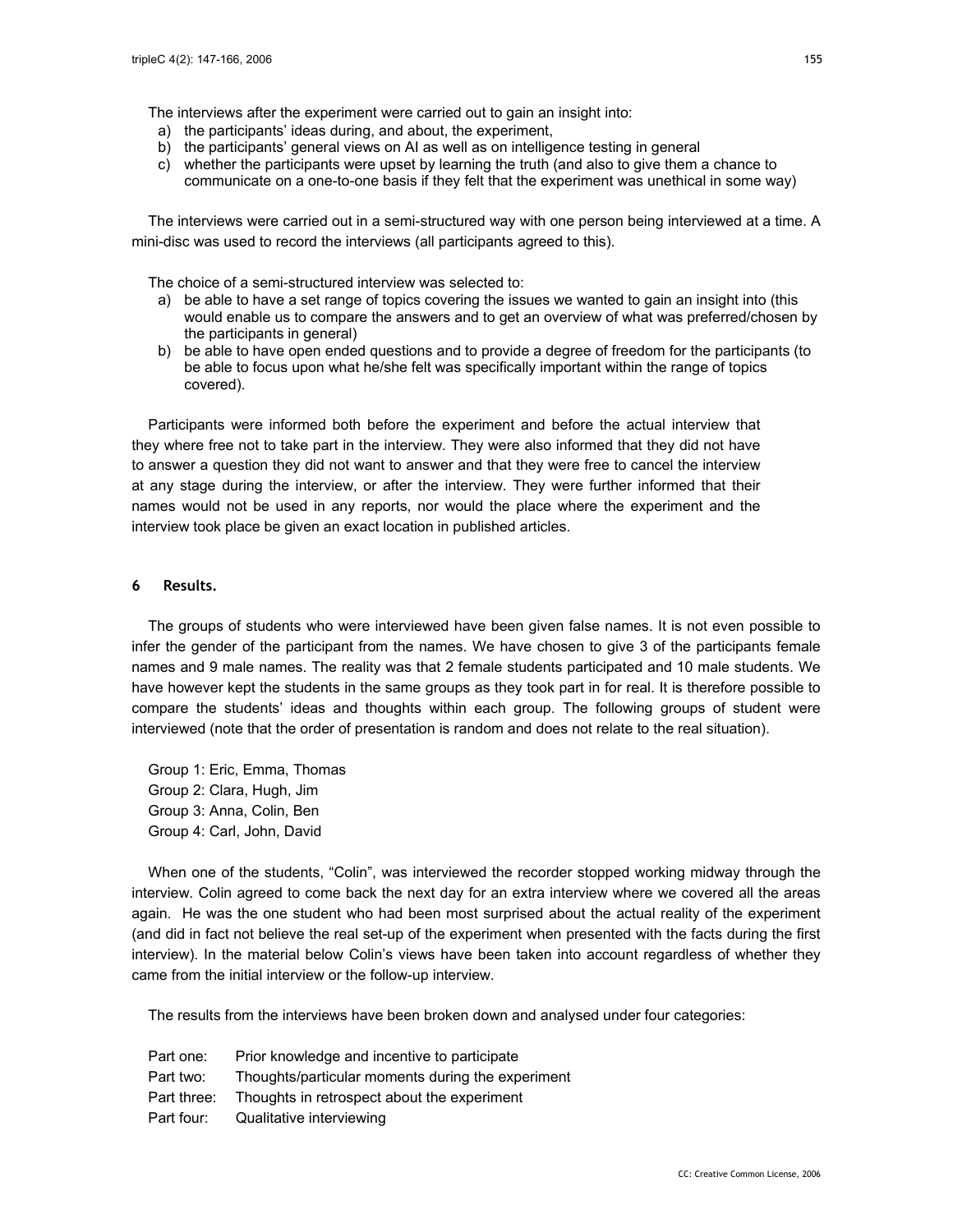The interviews after the experiment were carried out to gain an insight into:

- a) the participants' ideas during, and about, the experiment,
- b) the participants' general views on AI as well as on intelligence testing in general
- c) whether the participants were upset by learning the truth (and also to give them a chance to communicate on a one-to-one basis if they felt that the experiment was unethical in some way)

The interviews were carried out in a semi-structured way with one person being interviewed at a time. A mini-disc was used to record the interviews (all participants agreed to this).

The choice of a semi-structured interview was selected to:

- a) be able to have a set range of topics covering the issues we wanted to gain an insight into (this would enable us to compare the answers and to get an overview of what was preferred/chosen by the participants in general)
- b) be able to have open ended questions and to provide a degree of freedom for the participants (to be able to focus upon what he/she felt was specifically important within the range of topics covered).

Participants were informed both before the experiment and before the actual interview that they where free not to take part in the interview. They were also informed that they did not have to answer a question they did not want to answer and that they were free to cancel the interview at any stage during the interview, or after the interview. They were further informed that their names would not be used in any reports, nor would the place where the experiment and the interview took place be given an exact location in published articles.

#### **6 Results.**

The groups of students who were interviewed have been given false names. It is not even possible to infer the gender of the participant from the names. We have chosen to give 3 of the participants female names and 9 male names. The reality was that 2 female students participated and 10 male students. We have however kept the students in the same groups as they took part in for real. It is therefore possible to compare the students' ideas and thoughts within each group. The following groups of student were interviewed (note that the order of presentation is random and does not relate to the real situation).

Group 1: Eric, Emma, Thomas Group 2: Clara, Hugh, Jim Group 3: Anna, Colin, Ben Group 4: Carl, John, David

When one of the students, "Colin", was interviewed the recorder stopped working midway through the interview. Colin agreed to come back the next day for an extra interview where we covered all the areas again. He was the one student who had been most surprised about the actual reality of the experiment (and did in fact not believe the real set-up of the experiment when presented with the facts during the first interview). In the material below Colin's views have been taken into account regardless of whether they came from the initial interview or the follow-up interview.

The results from the interviews have been broken down and analysed under four categories:

| Part one:   | Prior knowledge and incentive to participate      |
|-------------|---------------------------------------------------|
| Part two:   | Thoughts/particular moments during the experiment |
| Part three: | Thoughts in retrospect about the experiment       |
| Part four:  | Qualitative interviewing                          |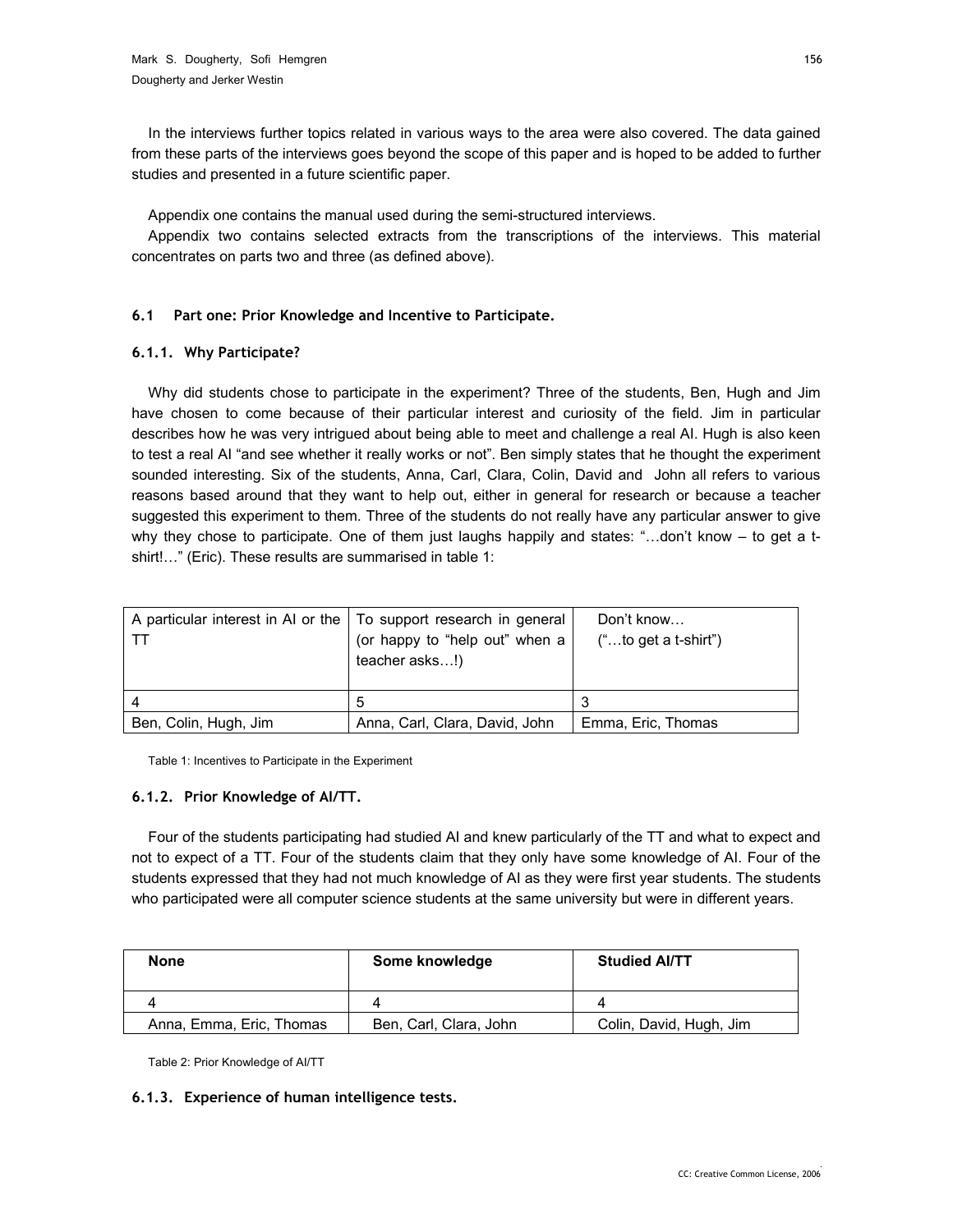In the interviews further topics related in various ways to the area were also covered. The data gained from these parts of the interviews goes beyond the scope of this paper and is hoped to be added to further studies and presented in a future scientific paper.

Appendix one contains the manual used during the semi-structured interviews.

Appendix two contains selected extracts from the transcriptions of the interviews. This material concentrates on parts two and three (as defined above).

## **6.1 Part one: Prior Knowledge and Incentive to Participate.**

## **6.1.1. Why Participate?**

Why did students chose to participate in the experiment? Three of the students, Ben, Hugh and Jim have chosen to come because of their particular interest and curiosity of the field. Jim in particular describes how he was very intrigued about being able to meet and challenge a real AI. Hugh is also keen to test a real AI "and see whether it really works or not". Ben simply states that he thought the experiment sounded interesting. Six of the students, Anna, Carl, Clara, Colin, David and John all refers to various reasons based around that they want to help out, either in general for research or because a teacher suggested this experiment to them. Three of the students do not really have any particular answer to give why they chose to participate. One of them just laughs happily and states: "…don't know – to get a tshirt!…" (Eric). These results are summarised in table 1:

| A particular interest in AI or the   To support research in general<br>I TT | (or happy to "help out" when a<br>teacher asks!) | Don't know<br>$("to get a t-shift")$ |
|-----------------------------------------------------------------------------|--------------------------------------------------|--------------------------------------|
|                                                                             | 5                                                |                                      |
| Ben, Colin, Hugh, Jim                                                       | Anna, Carl, Clara, David, John                   | Emma, Eric, Thomas                   |

Table 1: Incentives to Participate in the Experiment

## **6.1.2. Prior Knowledge of AI/TT.**

Four of the students participating had studied AI and knew particularly of the TT and what to expect and not to expect of a TT. Four of the students claim that they only have some knowledge of AI. Four of the students expressed that they had not much knowledge of AI as they were first year students. The students who participated were all computer science students at the same university but were in different years.

| None                     | Some knowledge         | <b>Studied AI/TT</b>    |
|--------------------------|------------------------|-------------------------|
|                          |                        |                         |
| Anna, Emma, Eric, Thomas | Ben, Carl, Clara, John | Colin, David, Hugh, Jim |

Table 2: Prior Knowledge of AI/TT

## **6.1.3. Experience of human intelligence tests.**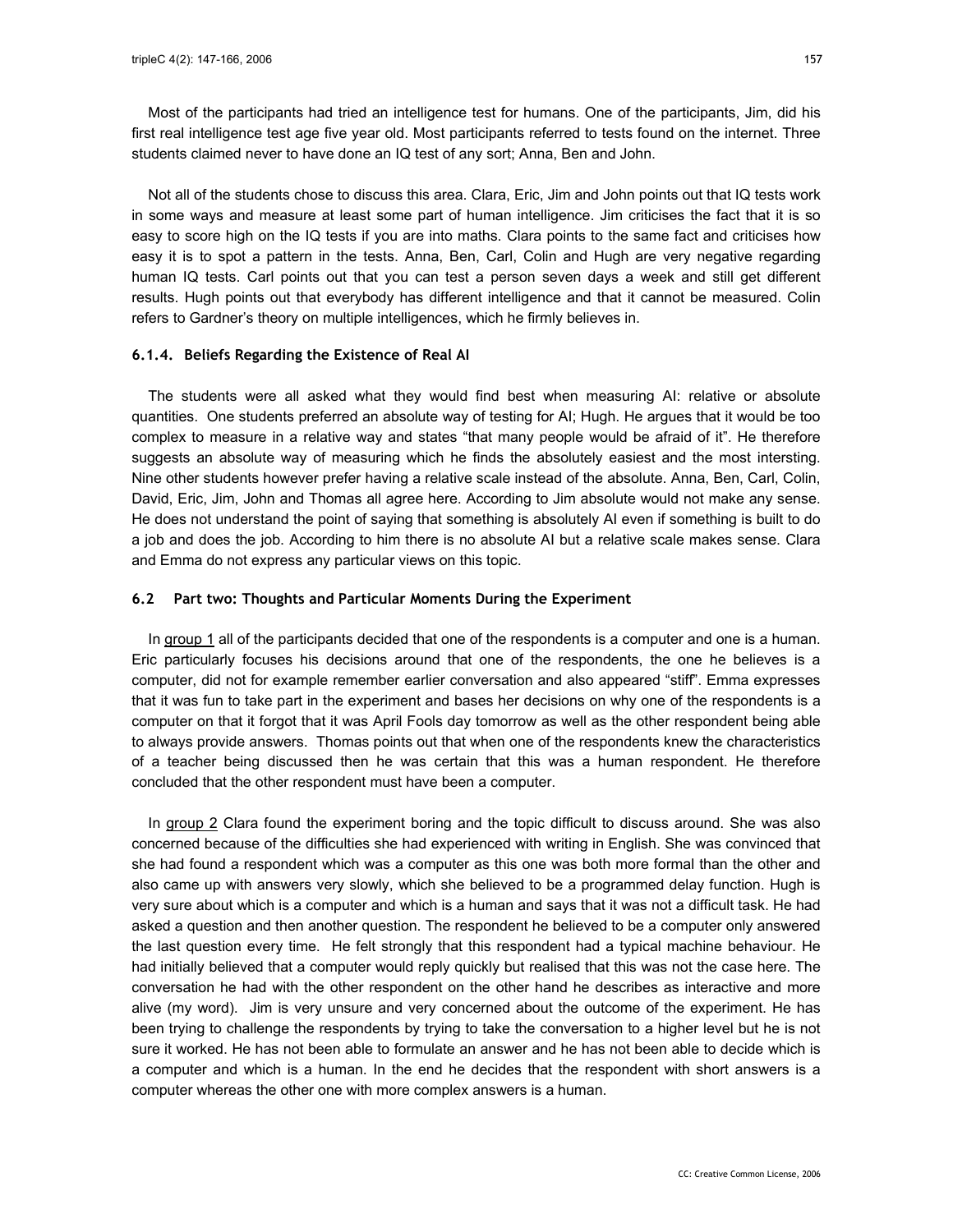Most of the participants had tried an intelligence test for humans. One of the participants, Jim, did his first real intelligence test age five year old. Most participants referred to tests found on the internet. Three students claimed never to have done an IQ test of any sort; Anna, Ben and John.

Not all of the students chose to discuss this area. Clara, Eric, Jim and John points out that IQ tests work in some ways and measure at least some part of human intelligence. Jim criticises the fact that it is so easy to score high on the IQ tests if you are into maths. Clara points to the same fact and criticises how easy it is to spot a pattern in the tests. Anna, Ben, Carl, Colin and Hugh are very negative regarding human IQ tests. Carl points out that you can test a person seven days a week and still get different results. Hugh points out that everybody has different intelligence and that it cannot be measured. Colin refers to Gardner's theory on multiple intelligences, which he firmly believes in.

#### **6.1.4. Beliefs Regarding the Existence of Real AI**

The students were all asked what they would find best when measuring AI: relative or absolute quantities. One students preferred an absolute way of testing for AI; Hugh. He argues that it would be too complex to measure in a relative way and states "that many people would be afraid of it". He therefore suggests an absolute way of measuring which he finds the absolutely easiest and the most intersting. Nine other students however prefer having a relative scale instead of the absolute. Anna, Ben, Carl, Colin, David, Eric, Jim, John and Thomas all agree here. According to Jim absolute would not make any sense. He does not understand the point of saying that something is absolutely AI even if something is built to do a job and does the job. According to him there is no absolute AI but a relative scale makes sense. Clara and Emma do not express any particular views on this topic.

#### **6.2 Part two: Thoughts and Particular Moments During the Experiment**

In group 1 all of the participants decided that one of the respondents is a computer and one is a human. Eric particularly focuses his decisions around that one of the respondents, the one he believes is a computer, did not for example remember earlier conversation and also appeared "stiff". Emma expresses that it was fun to take part in the experiment and bases her decisions on why one of the respondents is a computer on that it forgot that it was April Fools day tomorrow as well as the other respondent being able to always provide answers. Thomas points out that when one of the respondents knew the characteristics of a teacher being discussed then he was certain that this was a human respondent. He therefore concluded that the other respondent must have been a computer.

In group 2 Clara found the experiment boring and the topic difficult to discuss around. She was also concerned because of the difficulties she had experienced with writing in English. She was convinced that she had found a respondent which was a computer as this one was both more formal than the other and also came up with answers very slowly, which she believed to be a programmed delay function. Hugh is very sure about which is a computer and which is a human and says that it was not a difficult task. He had asked a question and then another question. The respondent he believed to be a computer only answered the last question every time. He felt strongly that this respondent had a typical machine behaviour. He had initially believed that a computer would reply quickly but realised that this was not the case here. The conversation he had with the other respondent on the other hand he describes as interactive and more alive (my word). Jim is very unsure and very concerned about the outcome of the experiment. He has been trying to challenge the respondents by trying to take the conversation to a higher level but he is not sure it worked. He has not been able to formulate an answer and he has not been able to decide which is a computer and which is a human. In the end he decides that the respondent with short answers is a computer whereas the other one with more complex answers is a human.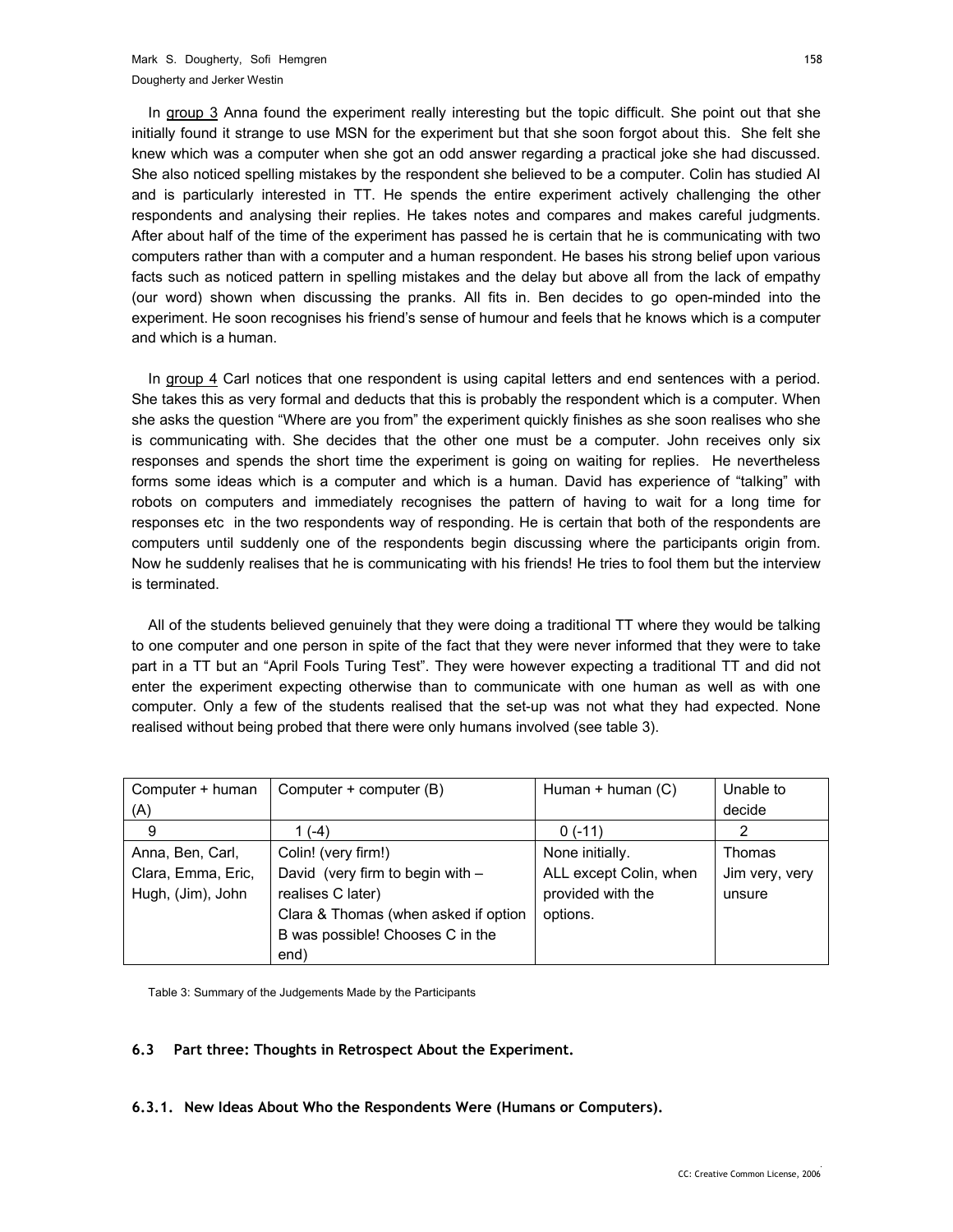In group 3 Anna found the experiment really interesting but the topic difficult. She point out that she initially found it strange to use MSN for the experiment but that she soon forgot about this. She felt she knew which was a computer when she got an odd answer regarding a practical joke she had discussed. She also noticed spelling mistakes by the respondent she believed to be a computer. Colin has studied AI and is particularly interested in TT. He spends the entire experiment actively challenging the other respondents and analysing their replies. He takes notes and compares and makes careful judgments. After about half of the time of the experiment has passed he is certain that he is communicating with two computers rather than with a computer and a human respondent. He bases his strong belief upon various facts such as noticed pattern in spelling mistakes and the delay but above all from the lack of empathy (our word) shown when discussing the pranks. All fits in. Ben decides to go open-minded into the experiment. He soon recognises his friend's sense of humour and feels that he knows which is a computer and which is a human.

In group 4 Carl notices that one respondent is using capital letters and end sentences with a period. She takes this as very formal and deducts that this is probably the respondent which is a computer. When she asks the question "Where are you from" the experiment quickly finishes as she soon realises who she is communicating with. She decides that the other one must be a computer. John receives only six responses and spends the short time the experiment is going on waiting for replies. He nevertheless forms some ideas which is a computer and which is a human. David has experience of "talking" with robots on computers and immediately recognises the pattern of having to wait for a long time for responses etc in the two respondents way of responding. He is certain that both of the respondents are computers until suddenly one of the respondents begin discussing where the participants origin from. Now he suddenly realises that he is communicating with his friends! He tries to fool them but the interview is terminated.

All of the students believed genuinely that they were doing a traditional TT where they would be talking to one computer and one person in spite of the fact that they were never informed that they were to take part in a TT but an "April Fools Turing Test". They were however expecting a traditional TT and did not enter the experiment expecting otherwise than to communicate with one human as well as with one computer. Only a few of the students realised that the set-up was not what they had expected. None realised without being probed that there were only humans involved (see table 3).

| Computer + human<br>(A) | Computer + computer (B)              | Human $+$ human $(C)$  | Unable to<br>decide |
|-------------------------|--------------------------------------|------------------------|---------------------|
| 9                       | 1 (-4)                               | $0(-11)$               |                     |
| Anna, Ben, Carl,        | Colin! (very firm!)                  | None initially.        | Thomas              |
| Clara, Emma, Eric,      | David (very firm to begin with -     | ALL except Colin, when | Jim very, very      |
| Hugh, (Jim), John       | realises C later)                    | provided with the      | unsure              |
|                         | Clara & Thomas (when asked if option | options.               |                     |
|                         | B was possible! Chooses C in the     |                        |                     |
|                         | end)                                 |                        |                     |

Table 3: Summary of the Judgements Made by the Participants

## **6.3 Part three: Thoughts in Retrospect About the Experiment.**

#### **6.3.1. New Ideas About Who the Respondents Were (Humans or Computers).**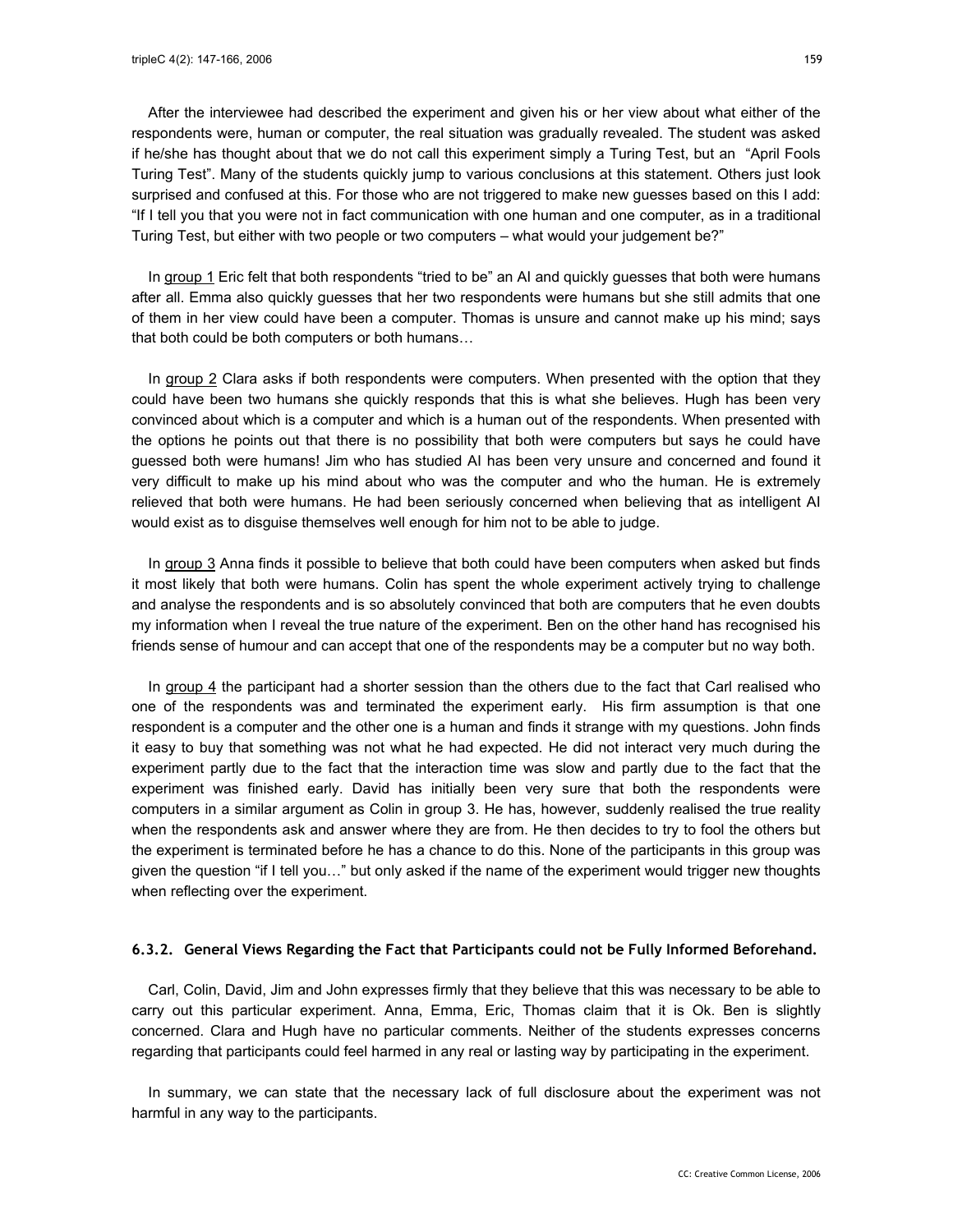After the interviewee had described the experiment and given his or her view about what either of the respondents were, human or computer, the real situation was gradually revealed. The student was asked if he/she has thought about that we do not call this experiment simply a Turing Test, but an "April Fools Turing Test". Many of the students quickly jump to various conclusions at this statement. Others just look surprised and confused at this. For those who are not triggered to make new guesses based on this I add:

In group 1 Eric felt that both respondents "tried to be" an AI and quickly guesses that both were humans after all. Emma also quickly guesses that her two respondents were humans but she still admits that one of them in her view could have been a computer. Thomas is unsure and cannot make up his mind; says that both could be both computers or both humans…

"If I tell you that you were not in fact communication with one human and one computer, as in a traditional

Turing Test, but either with two people or two computers – what would your judgement be?"

In group 2 Clara asks if both respondents were computers. When presented with the option that they could have been two humans she quickly responds that this is what she believes. Hugh has been very convinced about which is a computer and which is a human out of the respondents. When presented with the options he points out that there is no possibility that both were computers but says he could have guessed both were humans! Jim who has studied AI has been very unsure and concerned and found it very difficult to make up his mind about who was the computer and who the human. He is extremely relieved that both were humans. He had been seriously concerned when believing that as intelligent AI would exist as to disguise themselves well enough for him not to be able to judge.

In group 3 Anna finds it possible to believe that both could have been computers when asked but finds it most likely that both were humans. Colin has spent the whole experiment actively trying to challenge and analyse the respondents and is so absolutely convinced that both are computers that he even doubts my information when I reveal the true nature of the experiment. Ben on the other hand has recognised his friends sense of humour and can accept that one of the respondents may be a computer but no way both.

In group 4 the participant had a shorter session than the others due to the fact that Carl realised who one of the respondents was and terminated the experiment early. His firm assumption is that one respondent is a computer and the other one is a human and finds it strange with my questions. John finds it easy to buy that something was not what he had expected. He did not interact very much during the experiment partly due to the fact that the interaction time was slow and partly due to the fact that the experiment was finished early. David has initially been very sure that both the respondents were computers in a similar argument as Colin in group 3. He has, however, suddenly realised the true reality when the respondents ask and answer where they are from. He then decides to try to fool the others but the experiment is terminated before he has a chance to do this. None of the participants in this group was given the question "if I tell you…" but only asked if the name of the experiment would trigger new thoughts when reflecting over the experiment.

#### **6.3.2. General Views Regarding the Fact that Participants could not be Fully Informed Beforehand.**

Carl, Colin, David, Jim and John expresses firmly that they believe that this was necessary to be able to carry out this particular experiment. Anna, Emma, Eric, Thomas claim that it is Ok. Ben is slightly concerned. Clara and Hugh have no particular comments. Neither of the students expresses concerns regarding that participants could feel harmed in any real or lasting way by participating in the experiment.

In summary, we can state that the necessary lack of full disclosure about the experiment was not harmful in any way to the participants.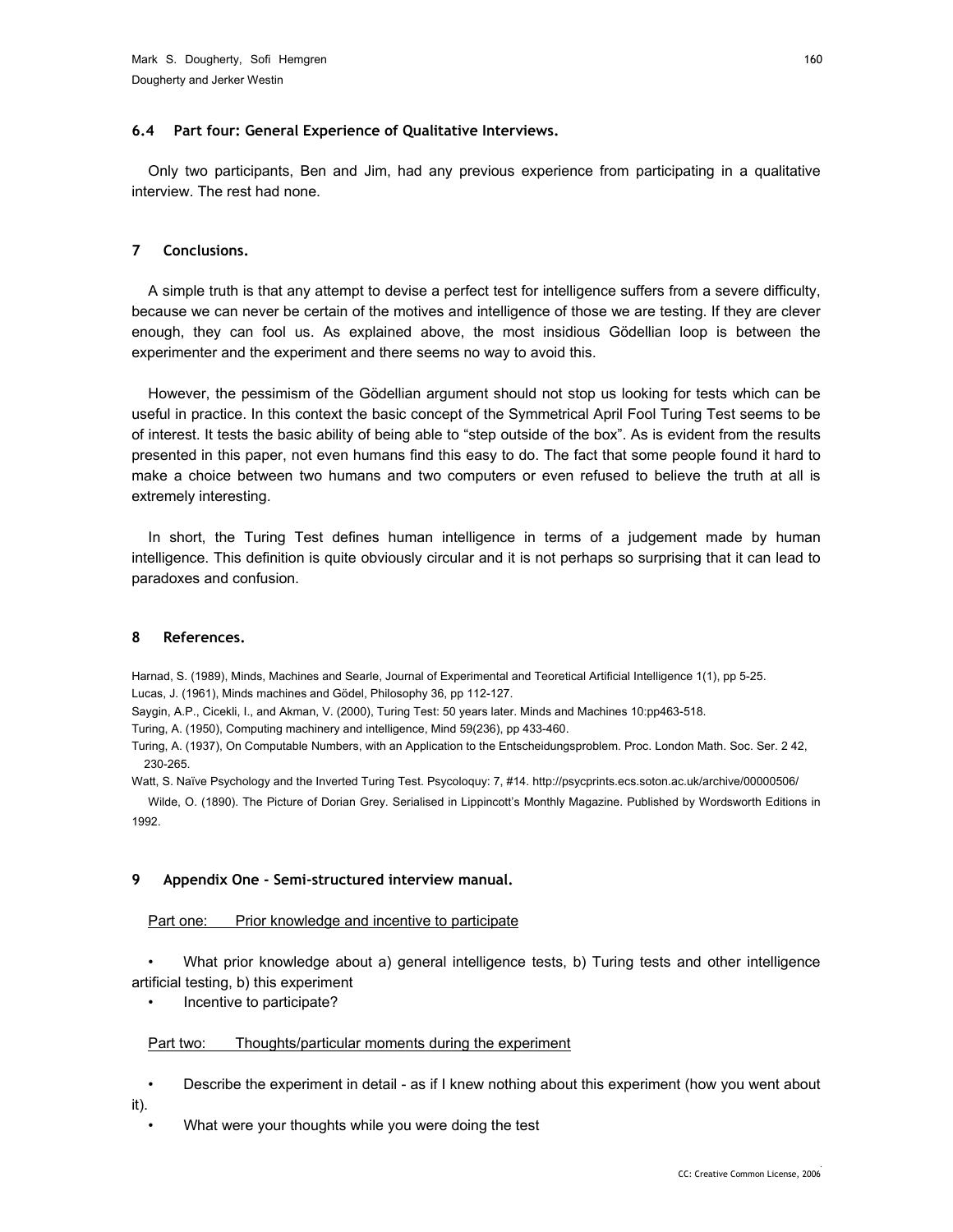#### **6.4 Part four: General Experience of Qualitative Interviews.**

Only two participants, Ben and Jim, had any previous experience from participating in a qualitative interview. The rest had none.

## **7 Conclusions.**

A simple truth is that any attempt to devise a perfect test for intelligence suffers from a severe difficulty, because we can never be certain of the motives and intelligence of those we are testing. If they are clever enough, they can fool us. As explained above, the most insidious Gödellian loop is between the experimenter and the experiment and there seems no way to avoid this.

However, the pessimism of the Gödellian argument should not stop us looking for tests which can be useful in practice. In this context the basic concept of the Symmetrical April Fool Turing Test seems to be of interest. It tests the basic ability of being able to "step outside of the box". As is evident from the results presented in this paper, not even humans find this easy to do. The fact that some people found it hard to make a choice between two humans and two computers or even refused to believe the truth at all is extremely interesting.

In short, the Turing Test defines human intelligence in terms of a judgement made by human intelligence. This definition is quite obviously circular and it is not perhaps so surprising that it can lead to paradoxes and confusion.

## **8 References.**

Harnad, S. (1989), Minds, Machines and Searle, Journal of Experimental and Teoretical Artificial Intelligence 1(1), pp 5-25. Lucas, J. (1961), Minds machines and Gödel, Philosophy 36, pp 112-127.

Saygin, A.P., Cicekli, I., and Akman, V. (2000), Turing Test: 50 years later. Minds and Machines 10:pp463-518.

Turing, A. (1950), Computing machinery and intelligence, Mind 59(236), pp 433-460.

Turing, A. (1937), On Computable Numbers, with an Application to the Entscheidungsproblem. Proc. London Math. Soc. Ser. 2 42, 230-265.

Watt, S. Naïve Psychology and the Inverted Turing Test. Psycoloquy: 7, #14. http://psycprints.ecs.soton.ac.uk/archive/00000506/

Wilde, O. (1890). The Picture of Dorian Grey. Serialised in Lippincott's Monthly Magazine. Published by Wordsworth Editions in 1992.

## **9 Appendix One - Semi-structured interview manual.**

## Part one: Prior knowledge and incentive to participate

• What prior knowledge about a) general intelligence tests, b) Turing tests and other intelligence artificial testing, b) this experiment

• Incentive to participate?

## Part two: Thoughts/particular moments during the experiment

• Describe the experiment in detail - as if I knew nothing about this experiment (how you went about it).

What were your thoughts while you were doing the test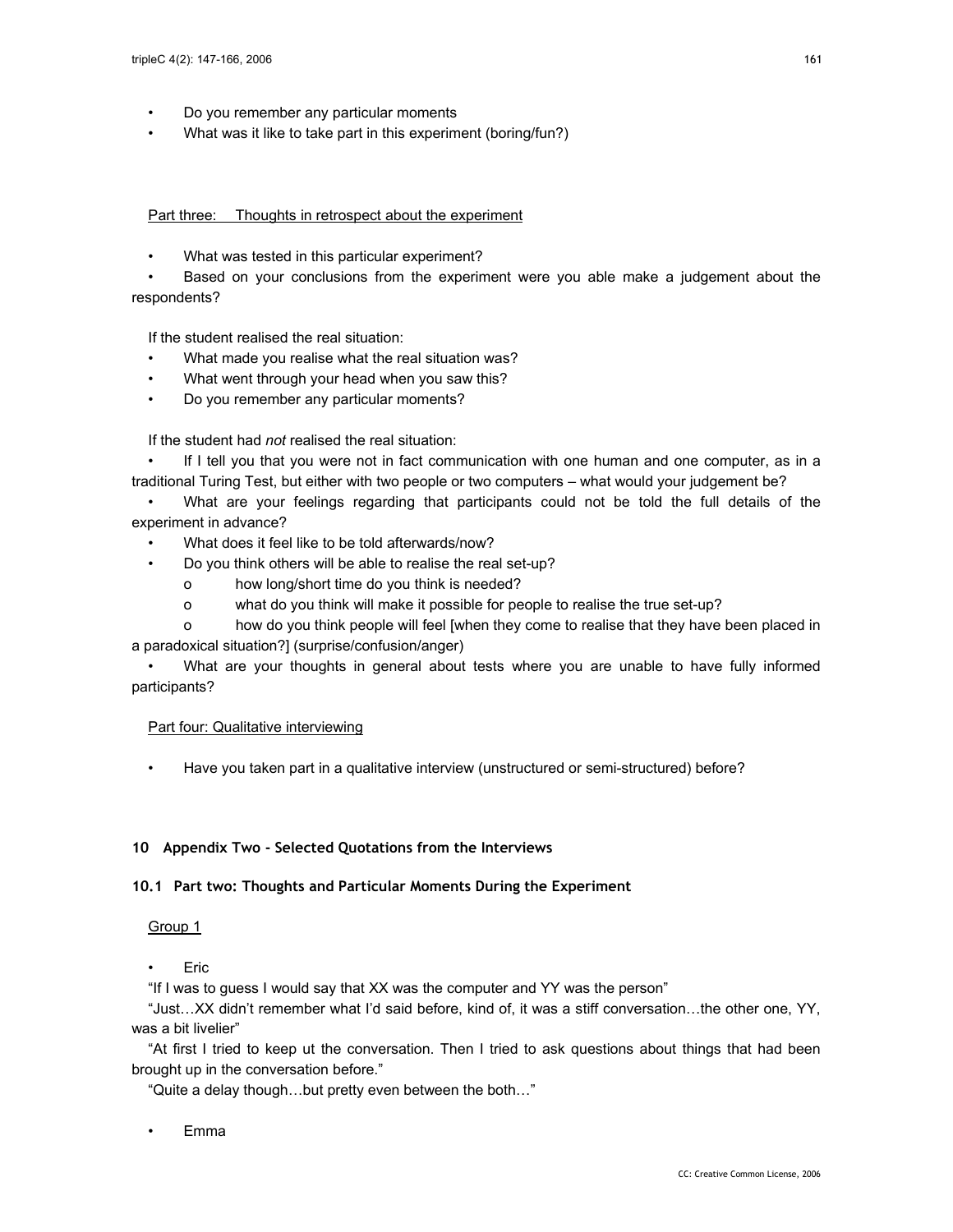- Do you remember any particular moments
- What was it like to take part in this experiment (boring/fun?)

#### Part three: Thoughts in retrospect about the experiment

• What was tested in this particular experiment?

Based on your conclusions from the experiment were you able make a judgement about the respondents?

If the student realised the real situation:

- What made you realise what the real situation was?
- What went through your head when you saw this?
- Do you remember any particular moments?

If the student had *not* realised the real situation:

If I tell you that you were not in fact communication with one human and one computer, as in a traditional Turing Test, but either with two people or two computers – what would your judgement be?

• What are your feelings regarding that participants could not be told the full details of the experiment in advance?

- What does it feel like to be told afterwards/now?
- Do you think others will be able to realise the real set-up?
	- o how long/short time do you think is needed?
	- o what do you think will make it possible for people to realise the true set-up?

o how do you think people will feel [when they come to realise that they have been placed in a paradoxical situation?] (surprise/confusion/anger)

• What are your thoughts in general about tests where you are unable to have fully informed participants?

#### Part four: Qualitative interviewing

• Have you taken part in a qualitative interview (unstructured or semi-structured) before?

#### **10 Appendix Two - Selected Quotations from the Interviews**

#### **10.1 Part two: Thoughts and Particular Moments During the Experiment**

# Group 1

• Eric

"If I was to guess I would say that XX was the computer and YY was the person"

"Just…XX didn't remember what I'd said before, kind of, it was a stiff conversation…the other one, YY, was a bit livelier"

"At first I tried to keep ut the conversation. Then I tried to ask questions about things that had been brought up in the conversation before."

"Quite a delay though…but pretty even between the both…"

• Emma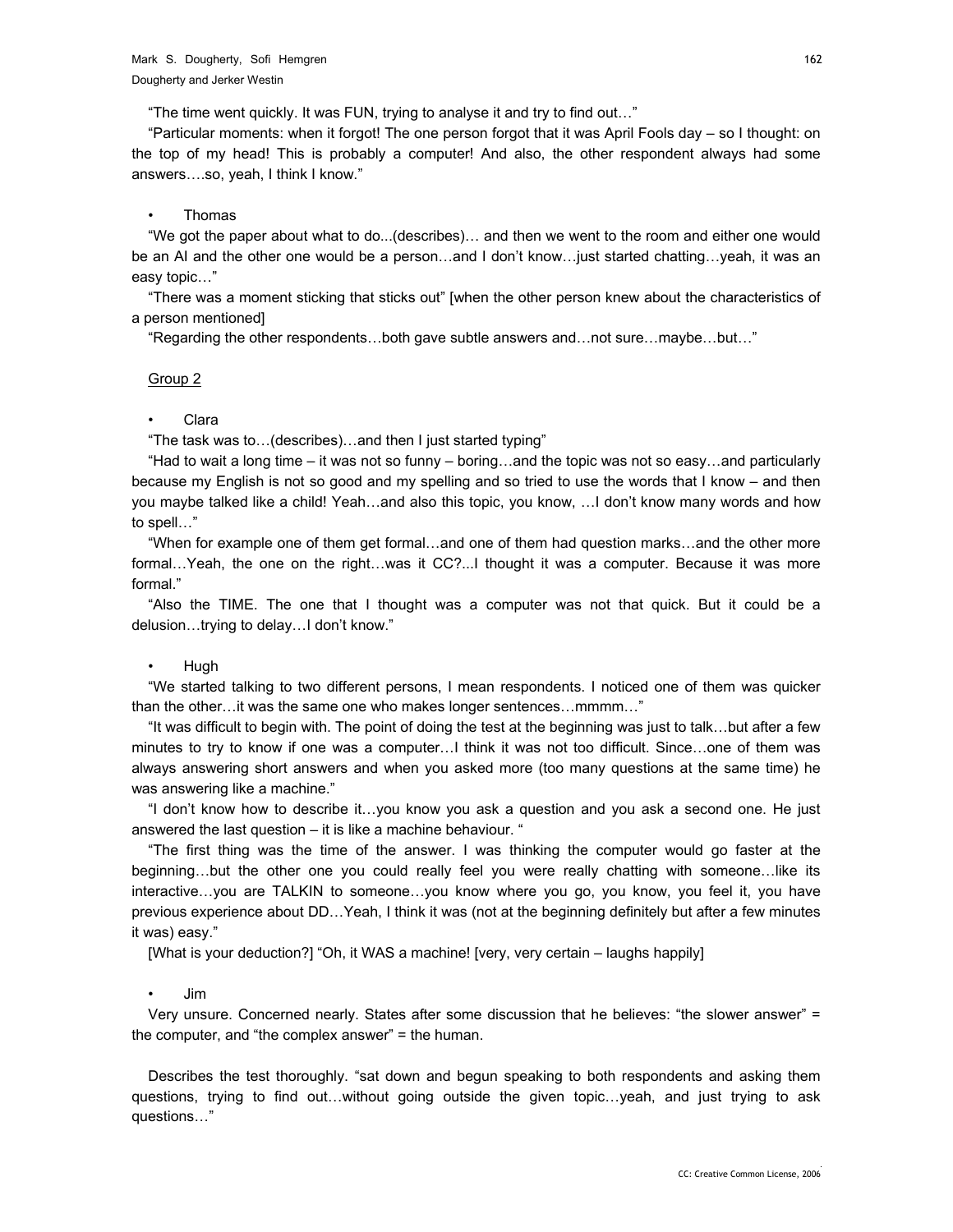"The time went quickly. It was FUN, trying to analyse it and try to find out…"

"Particular moments: when it forgot! The one person forgot that it was April Fools day – so I thought: on the top of my head! This is probably a computer! And also, the other respondent always had some answers….so, yeah, I think I know."

#### • Thomas

"We got the paper about what to do...(describes)… and then we went to the room and either one would be an AI and the other one would be a person...and I don't know...just started chatting...yeah, it was an easy topic…"

"There was a moment sticking that sticks out" [when the other person knew about the characteristics of a person mentioned]

"Regarding the other respondents…both gave subtle answers and…not sure…maybe…but…"

#### Group 2

#### • Clara

"The task was to…(describes)…and then I just started typing"

"Had to wait a long time – it was not so funny – boring…and the topic was not so easy…and particularly because my English is not so good and my spelling and so tried to use the words that I know – and then you maybe talked like a child! Yeah...and also this topic, you know, ... I don't know many words and how to spell…"

"When for example one of them get formal…and one of them had question marks…and the other more formal…Yeah, the one on the right…was it CC?...I thought it was a computer. Because it was more formal."

"Also the TIME. The one that I thought was a computer was not that quick. But it could be a delusion…trying to delay…I don't know."

#### • Hugh

"We started talking to two different persons, I mean respondents. I noticed one of them was quicker than the other…it was the same one who makes longer sentences…mmmm…"

"It was difficult to begin with. The point of doing the test at the beginning was just to talk…but after a few minutes to try to know if one was a computer…I think it was not too difficult. Since…one of them was always answering short answers and when you asked more (too many questions at the same time) he was answering like a machine."

"I don't know how to describe it…you know you ask a question and you ask a second one. He just answered the last question – it is like a machine behaviour. "

"The first thing was the time of the answer. I was thinking the computer would go faster at the beginning…but the other one you could really feel you were really chatting with someone…like its interactive…you are TALKIN to someone…you know where you go, you know, you feel it, you have previous experience about DD…Yeah, I think it was (not at the beginning definitely but after a few minutes it was) easy."

[What is your deduction?] "Oh, it WAS a machine! [very, very certain – laughs happily]

#### • Jim

Very unsure. Concerned nearly. States after some discussion that he believes: "the slower answer" = the computer, and "the complex answer" = the human.

Describes the test thoroughly. "sat down and begun speaking to both respondents and asking them questions, trying to find out…without going outside the given topic…yeah, and just trying to ask questions…"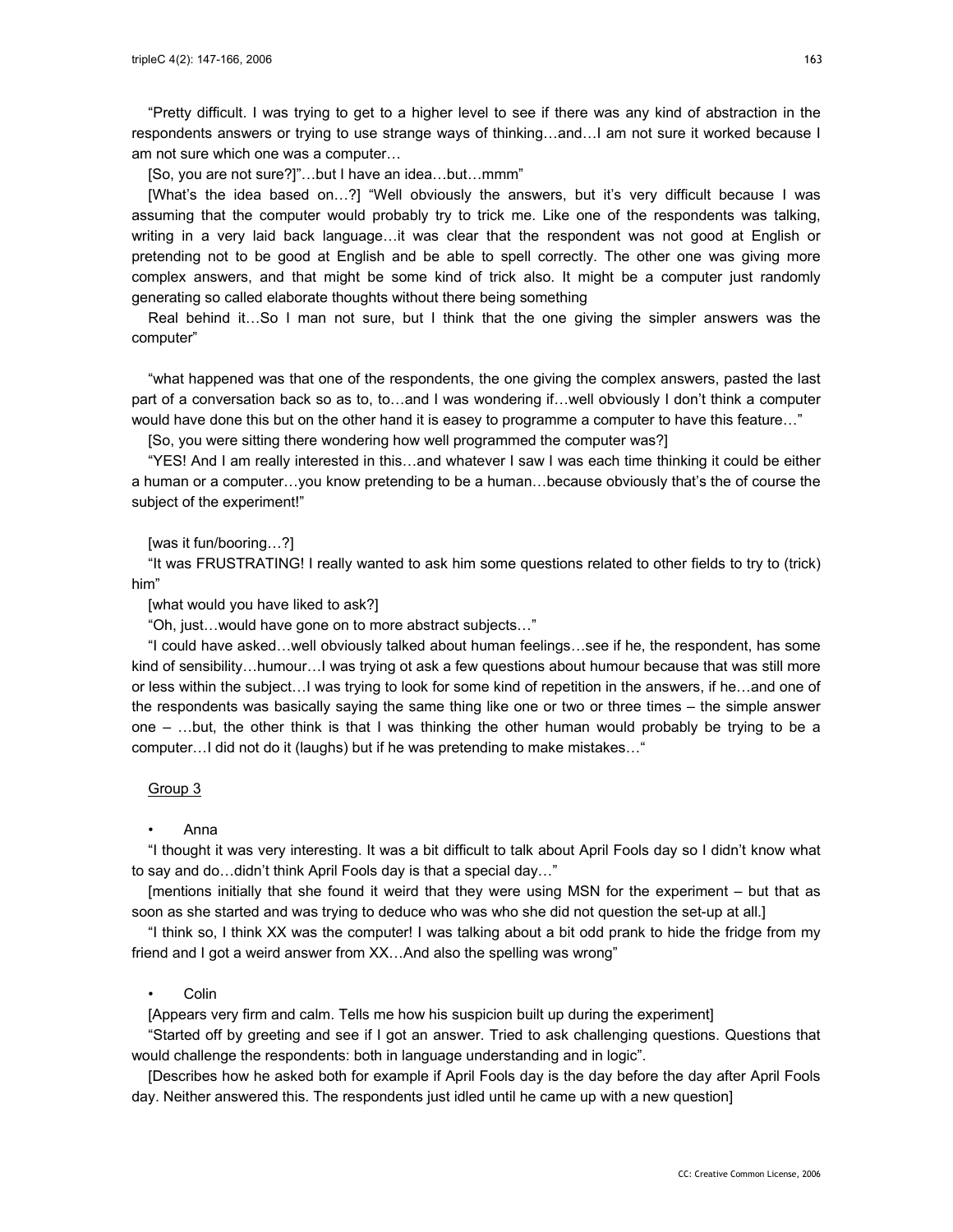"Pretty difficult. I was trying to get to a higher level to see if there was any kind of abstraction in the respondents answers or trying to use strange ways of thinking…and…I am not sure it worked because I am not sure which one was a computer…

[So, you are not sure?]"…but I have an idea…but…mmm"

[What's the idea based on…?] "Well obviously the answers, but it's very difficult because I was assuming that the computer would probably try to trick me. Like one of the respondents was talking, writing in a very laid back language…it was clear that the respondent was not good at English or pretending not to be good at English and be able to spell correctly. The other one was giving more complex answers, and that might be some kind of trick also. It might be a computer just randomly generating so called elaborate thoughts without there being something

Real behind it…So I man not sure, but I think that the one giving the simpler answers was the computer"

"what happened was that one of the respondents, the one giving the complex answers, pasted the last part of a conversation back so as to, to…and I was wondering if…well obviously I don't think a computer would have done this but on the other hand it is easey to programme a computer to have this feature..."

[So, you were sitting there wondering how well programmed the computer was?]

"YES! And I am really interested in this…and whatever I saw I was each time thinking it could be either a human or a computer…you know pretending to be a human…because obviously that's the of course the subject of the experiment!"

#### [was it fun/booring…?]

"It was FRUSTRATING! I really wanted to ask him some questions related to other fields to try to (trick) him"

[what would you have liked to ask?]

"Oh, just…would have gone on to more abstract subjects…"

"I could have asked…well obviously talked about human feelings…see if he, the respondent, has some kind of sensibility…humour…I was trying ot ask a few questions about humour because that was still more or less within the subject…I was trying to look for some kind of repetition in the answers, if he…and one of the respondents was basically saying the same thing like one or two or three times – the simple answer one – …but, the other think is that I was thinking the other human would probably be trying to be a computer…I did not do it (laughs) but if he was pretending to make mistakes…"

#### Group 3

#### • Anna

"I thought it was very interesting. It was a bit difficult to talk about April Fools day so I didn't know what to say and do…didn't think April Fools day is that a special day…"

[mentions initially that she found it weird that they were using MSN for the experiment – but that as soon as she started and was trying to deduce who was who she did not question the set-up at all.]

"I think so, I think XX was the computer! I was talking about a bit odd prank to hide the fridge from my friend and I got a weird answer from XX…And also the spelling was wrong"

#### • Colin

[Appears very firm and calm. Tells me how his suspicion built up during the experiment]

"Started off by greeting and see if I got an answer. Tried to ask challenging questions. Questions that would challenge the respondents: both in language understanding and in logic".

[Describes how he asked both for example if April Fools day is the day before the day after April Fools day. Neither answered this. The respondents just idled until he came up with a new question]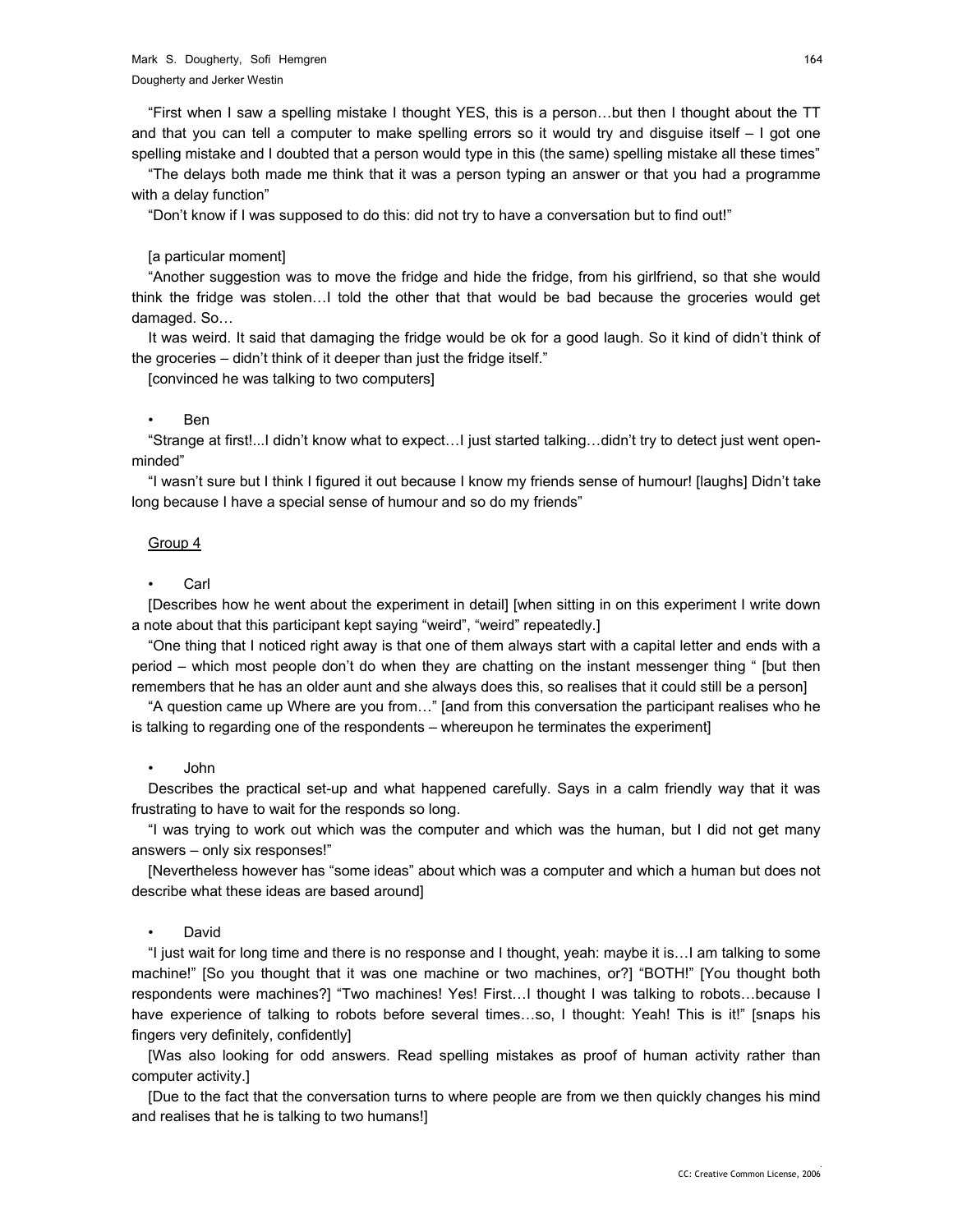"First when I saw a spelling mistake I thought YES, this is a person…but then I thought about the TT and that you can tell a computer to make spelling errors so it would try and disguise itself – I got one spelling mistake and I doubted that a person would type in this (the same) spelling mistake all these times"

"The delays both made me think that it was a person typing an answer or that you had a programme with a delay function"

"Don't know if I was supposed to do this: did not try to have a conversation but to find out!"

#### [a particular moment]

"Another suggestion was to move the fridge and hide the fridge, from his girlfriend, so that she would think the fridge was stolen…I told the other that that would be bad because the groceries would get damaged. So…

It was weird. It said that damaging the fridge would be ok for a good laugh. So it kind of didn't think of the groceries – didn't think of it deeper than just the fridge itself."

[convinced he was talking to two computers]

#### • Ben

"Strange at first!...I didn't know what to expect…I just started talking…didn't try to detect just went openminded"

"I wasn't sure but I think I figured it out because I know my friends sense of humour! [laughs] Didn't take long because I have a special sense of humour and so do my friends"

#### Group 4

#### **Carl**

[Describes how he went about the experiment in detail] [when sitting in on this experiment I write down a note about that this participant kept saying "weird", "weird" repeatedly.]

"One thing that I noticed right away is that one of them always start with a capital letter and ends with a period – which most people don't do when they are chatting on the instant messenger thing " [but then remembers that he has an older aunt and she always does this, so realises that it could still be a person]

"A question came up Where are you from…" [and from this conversation the participant realises who he is talking to regarding one of the respondents – whereupon he terminates the experiment]

#### • John

Describes the practical set-up and what happened carefully. Says in a calm friendly way that it was frustrating to have to wait for the responds so long.

"I was trying to work out which was the computer and which was the human, but I did not get many answers – only six responses!"

[Nevertheless however has "some ideas" about which was a computer and which a human but does not describe what these ideas are based around]

#### • David

"I just wait for long time and there is no response and I thought, yeah: maybe it is…I am talking to some machine!" [So you thought that it was one machine or two machines, or?] "BOTH!" [You thought both respondents were machines?] "Two machines! Yes! First…I thought I was talking to robots…because I have experience of talking to robots before several times...so, I thought: Yeah! This is it!" [snaps his fingers very definitely, confidently]

[Was also looking for odd answers. Read spelling mistakes as proof of human activity rather than computer activity.]

[Due to the fact that the conversation turns to where people are from we then quickly changes his mind and realises that he is talking to two humans!]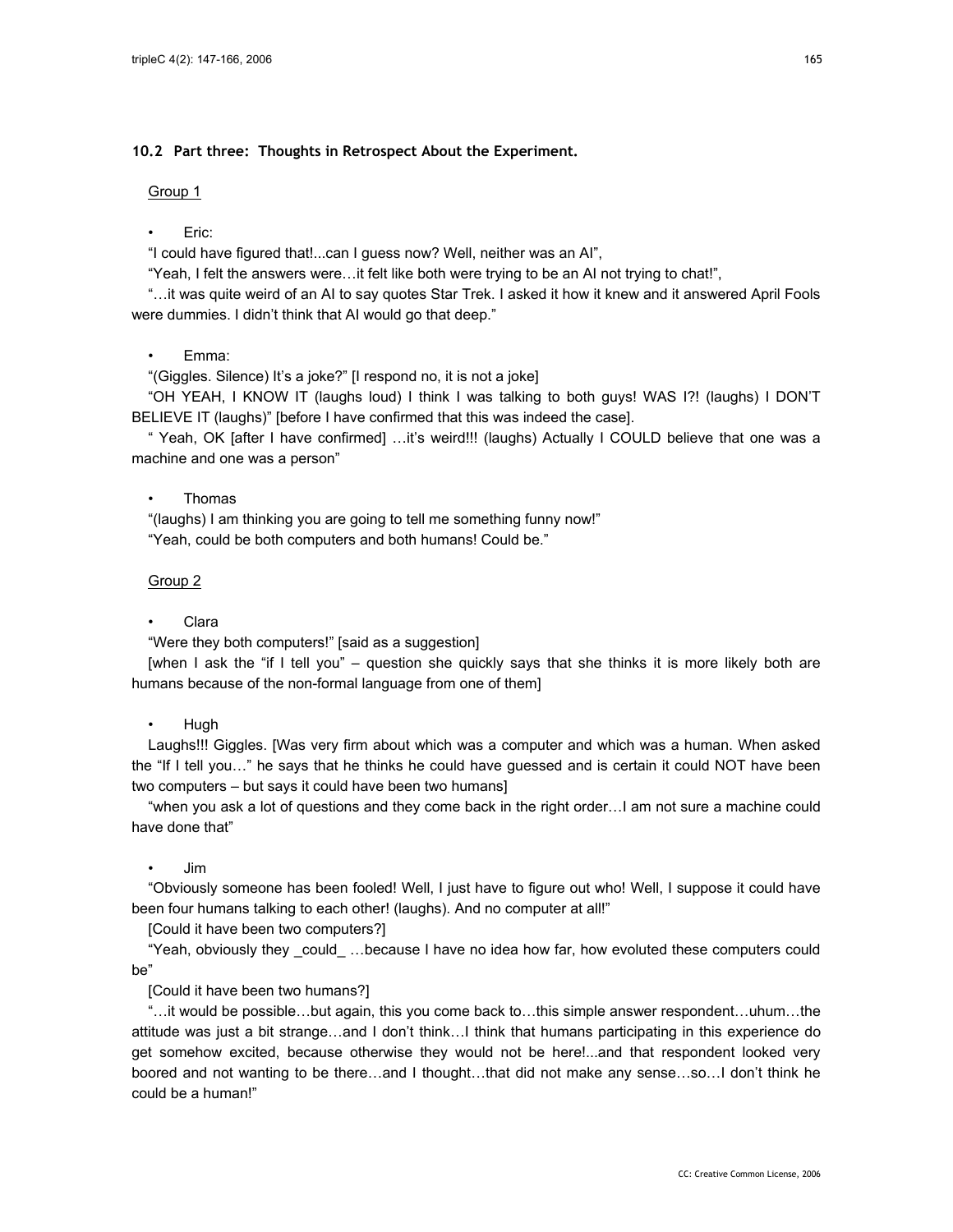# **10.2 Part three: Thoughts in Retrospect About the Experiment.**

#### Group 1

# • Eric:

"I could have figured that!...can I guess now? Well, neither was an AI",

"Yeah, I felt the answers were…it felt like both were trying to be an AI not trying to chat!",

"…it was quite weird of an AI to say quotes Star Trek. I asked it how it knew and it answered April Fools were dummies. I didn't think that AI would go that deep."

# • Emma:

"(Giggles. Silence) It's a joke?" [I respond no, it is not a joke]

"OH YEAH, I KNOW IT (laughs loud) I think I was talking to both guys! WAS I?! (laughs) I DON'T BELIEVE IT (laughs)" [before I have confirmed that this was indeed the case].

" Yeah, OK [after I have confirmed] …it's weird!!! (laughs) Actually I COULD believe that one was a machine and one was a person"

## • Thomas

"(laughs) I am thinking you are going to tell me something funny now!" "Yeah, could be both computers and both humans! Could be."

# Group 2

# • Clara

"Were they both computers!" [said as a suggestion]

[when I ask the "if I tell you" – question she quickly says that she thinks it is more likely both are humans because of the non-formal language from one of them]

## • Hugh

Laughs!!! Giggles. [Was very firm about which was a computer and which was a human. When asked the "If I tell you…" he says that he thinks he could have guessed and is certain it could NOT have been two computers – but says it could have been two humans]

"when you ask a lot of questions and they come back in the right order…I am not sure a machine could have done that"

## • Jim

"Obviously someone has been fooled! Well, I just have to figure out who! Well, I suppose it could have been four humans talking to each other! (laughs). And no computer at all!"

[Could it have been two computers?]

"Yeah, obviously they \_could\_ …because I have no idea how far, how evoluted these computers could be"

[Could it have been two humans?]

"…it would be possible…but again, this you come back to…this simple answer respondent…uhum…the attitude was just a bit strange…and I don't think…I think that humans participating in this experience do get somehow excited, because otherwise they would not be here!...and that respondent looked very boored and not wanting to be there…and I thought…that did not make any sense…so…I don't think he could be a human!"